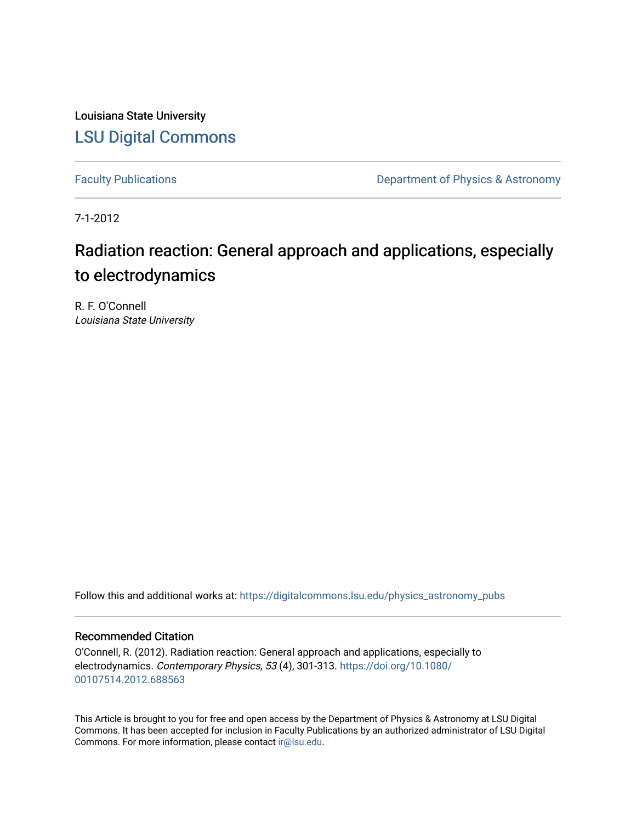Louisiana State University [LSU Digital Commons](https://digitalcommons.lsu.edu/)

[Faculty Publications](https://digitalcommons.lsu.edu/physics_astronomy_pubs) **Exercise 2 and Table 2 and Table 2 and Table 2 and Table 2 and Table 2 and Table 2 and Table 2 and Table 2 and Table 2 and Table 2 and Table 2 and Table 2 and Table 2 and Table 2 and Table 2 and Table** 

7-1-2012

# Radiation reaction: General approach and applications, especially to electrodynamics

R. F. O'Connell Louisiana State University

Follow this and additional works at: [https://digitalcommons.lsu.edu/physics\\_astronomy\\_pubs](https://digitalcommons.lsu.edu/physics_astronomy_pubs?utm_source=digitalcommons.lsu.edu%2Fphysics_astronomy_pubs%2F3867&utm_medium=PDF&utm_campaign=PDFCoverPages) 

# Recommended Citation

O'Connell, R. (2012). Radiation reaction: General approach and applications, especially to electrodynamics. Contemporary Physics, 53 (4), 301-313. [https://doi.org/10.1080/](https://doi.org/10.1080/00107514.2012.688563) [00107514.2012.688563](https://doi.org/10.1080/00107514.2012.688563)

This Article is brought to you for free and open access by the Department of Physics & Astronomy at LSU Digital Commons. It has been accepted for inclusion in Faculty Publications by an authorized administrator of LSU Digital Commons. For more information, please contact [ir@lsu.edu](mailto:ir@lsu.edu).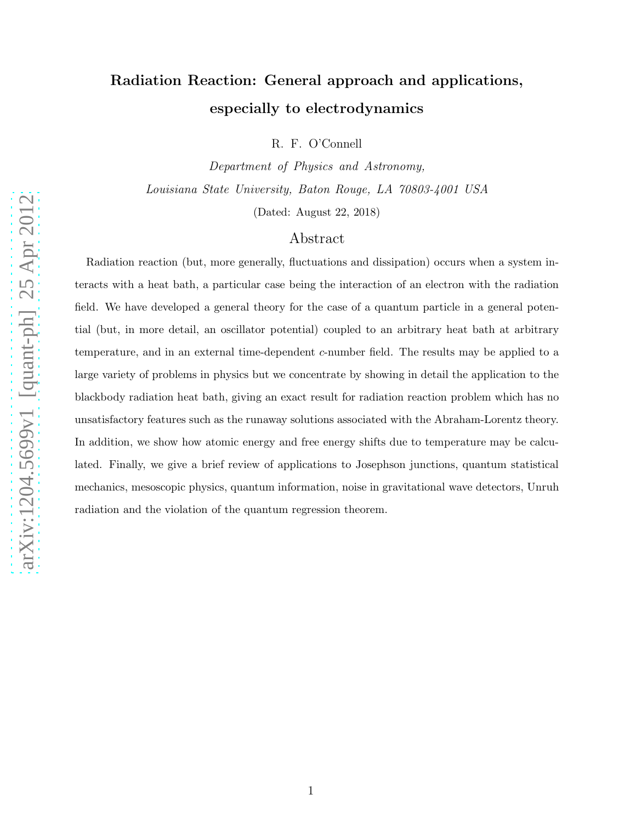# Radiation Reaction: General approach and applications, especially to electrodynamics

R. F. O'Connell

Department of Physics and Astronomy, Louisiana State University, Baton Rouge, LA 70803-4001 USA

(Dated: August 22, 2018)

# Abstract

Radiation reaction (but, more generally, fluctuations and dissipation) occurs when a system interacts with a heat bath, a particular case being the interaction of an electron with the radiation field. We have developed a general theory for the case of a quantum particle in a general potential (but, in more detail, an oscillator potential) coupled to an arbitrary heat bath at arbitrary temperature, and in an external time-dependent c-number field. The results may be applied to a large variety of problems in physics but we concentrate by showing in detail the application to the blackbody radiation heat bath, giving an exact result for radiation reaction problem which has no unsatisfactory features such as the runaway solutions associated with the Abraham-Lorentz theory. In addition, we show how atomic energy and free energy shifts due to temperature may be calculated. Finally, we give a brief review of applications to Josephson junctions, quantum statistical mechanics, mesoscopic physics, quantum information, noise in gravitational wave detectors, Unruh radiation and the violation of the quantum regression theorem.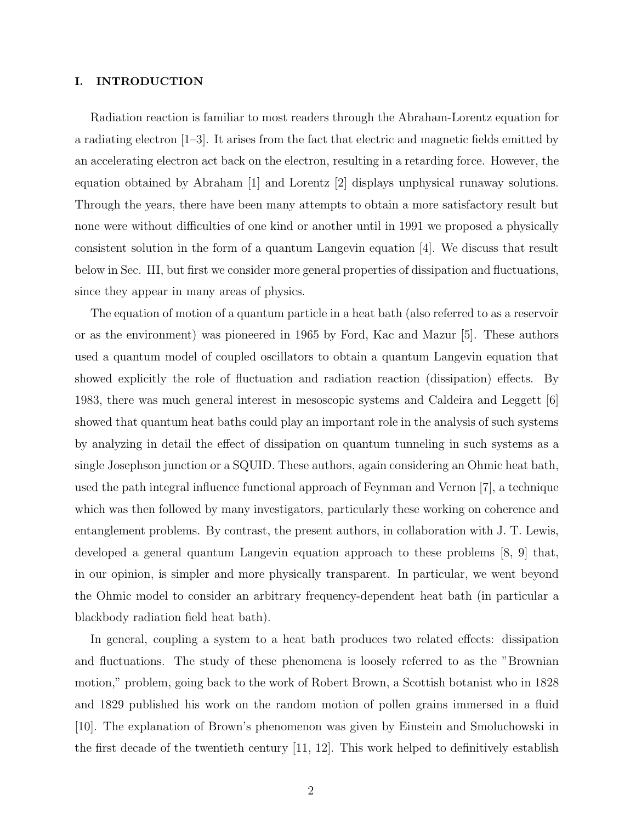#### I. INTRODUCTION

Radiation reaction is familiar to most readers through the Abraham-Lorentz equation for a radiating electron [1–3]. It arises from the fact that electric and magnetic fields emitted by an accelerating electron act back on the electron, resulting in a retarding force. However, the equation obtained by Abraham [1] and Lorentz [2] displays unphysical runaway solutions. Through the years, there have been many attempts to obtain a more satisfactory result but none were without difficulties of one kind or another until in 1991 we proposed a physically consistent solution in the form of a quantum Langevin equation [4]. We discuss that result below in Sec. III, but first we consider more general properties of dissipation and fluctuations, since they appear in many areas of physics.

The equation of motion of a quantum particle in a heat bath (also referred to as a reservoir or as the environment) was pioneered in 1965 by Ford, Kac and Mazur [5]. These authors used a quantum model of coupled oscillators to obtain a quantum Langevin equation that showed explicitly the role of fluctuation and radiation reaction (dissipation) effects. By 1983, there was much general interest in mesoscopic systems and Caldeira and Leggett [6] showed that quantum heat baths could play an important role in the analysis of such systems by analyzing in detail the effect of dissipation on quantum tunneling in such systems as a single Josephson junction or a SQUID. These authors, again considering an Ohmic heat bath, used the path integral influence functional approach of Feynman and Vernon [7], a technique which was then followed by many investigators, particularly these working on coherence and entanglement problems. By contrast, the present authors, in collaboration with J. T. Lewis, developed a general quantum Langevin equation approach to these problems [8, 9] that, in our opinion, is simpler and more physically transparent. In particular, we went beyond the Ohmic model to consider an arbitrary frequency-dependent heat bath (in particular a blackbody radiation field heat bath).

In general, coupling a system to a heat bath produces two related effects: dissipation and fluctuations. The study of these phenomena is loosely referred to as the "Brownian motion," problem, going back to the work of Robert Brown, a Scottish botanist who in 1828 and 1829 published his work on the random motion of pollen grains immersed in a fluid [10]. The explanation of Brown's phenomenon was given by Einstein and Smoluchowski in the first decade of the twentieth century [11, 12]. This work helped to definitively establish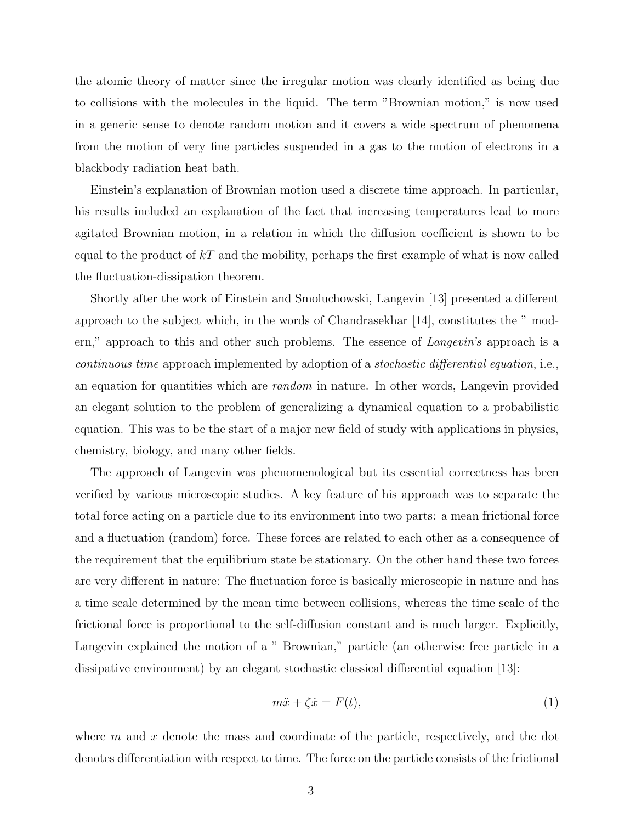the atomic theory of matter since the irregular motion was clearly identified as being due to collisions with the molecules in the liquid. The term "Brownian motion," is now used in a generic sense to denote random motion and it covers a wide spectrum of phenomena from the motion of very fine particles suspended in a gas to the motion of electrons in a blackbody radiation heat bath.

Einstein's explanation of Brownian motion used a discrete time approach. In particular, his results included an explanation of the fact that increasing temperatures lead to more agitated Brownian motion, in a relation in which the diffusion coefficient is shown to be equal to the product of  $kT$  and the mobility, perhaps the first example of what is now called the fluctuation-dissipation theorem.

Shortly after the work of Einstein and Smoluchowski, Langevin [13] presented a different approach to the subject which, in the words of Chandrasekhar [14], constitutes the " modern," approach to this and other such problems. The essence of Langevin's approach is a continuous time approach implemented by adoption of a stochastic differential equation, i.e., an equation for quantities which are random in nature. In other words, Langevin provided an elegant solution to the problem of generalizing a dynamical equation to a probabilistic equation. This was to be the start of a major new field of study with applications in physics, chemistry, biology, and many other fields.

The approach of Langevin was phenomenological but its essential correctness has been verified by various microscopic studies. A key feature of his approach was to separate the total force acting on a particle due to its environment into two parts: a mean frictional force and a fluctuation (random) force. These forces are related to each other as a consequence of the requirement that the equilibrium state be stationary. On the other hand these two forces are very different in nature: The fluctuation force is basically microscopic in nature and has a time scale determined by the mean time between collisions, whereas the time scale of the frictional force is proportional to the self-diffusion constant and is much larger. Explicitly, Langevin explained the motion of a " Brownian," particle (an otherwise free particle in a dissipative environment) by an elegant stochastic classical differential equation [13]:

$$
m\ddot{x} + \zeta \dot{x} = F(t),\tag{1}
$$

where  $m$  and  $x$  denote the mass and coordinate of the particle, respectively, and the dot denotes differentiation with respect to time. The force on the particle consists of the frictional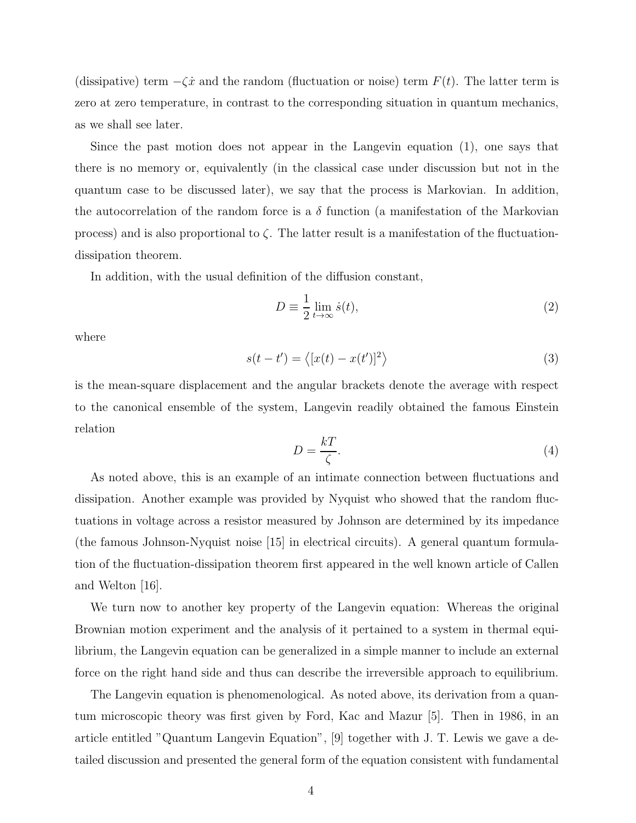(dissipative) term  $-\zeta \dot{x}$  and the random (fluctuation or noise) term  $F(t)$ . The latter term is zero at zero temperature, in contrast to the corresponding situation in quantum mechanics, as we shall see later.

Since the past motion does not appear in the Langevin equation (1), one says that there is no memory or, equivalently (in the classical case under discussion but not in the quantum case to be discussed later), we say that the process is Markovian. In addition, the autocorrelation of the random force is a  $\delta$  function (a manifestation of the Markovian process) and is also proportional to  $\zeta$ . The latter result is a manifestation of the fluctuationdissipation theorem.

In addition, with the usual definition of the diffusion constant,

$$
D \equiv \frac{1}{2} \lim_{t \to \infty} \dot{s}(t),\tag{2}
$$

where

$$
s(t - t') = \langle [x(t) - x(t')]^2 \rangle \tag{3}
$$

is the mean-square displacement and the angular brackets denote the average with respect to the canonical ensemble of the system, Langevin readily obtained the famous Einstein relation

$$
D = \frac{kT}{\zeta}.\tag{4}
$$

As noted above, this is an example of an intimate connection between fluctuations and dissipation. Another example was provided by Nyquist who showed that the random fluctuations in voltage across a resistor measured by Johnson are determined by its impedance (the famous Johnson-Nyquist noise [15] in electrical circuits). A general quantum formulation of the fluctuation-dissipation theorem first appeared in the well known article of Callen and Welton [16].

We turn now to another key property of the Langevin equation: Whereas the original Brownian motion experiment and the analysis of it pertained to a system in thermal equilibrium, the Langevin equation can be generalized in a simple manner to include an external force on the right hand side and thus can describe the irreversible approach to equilibrium.

The Langevin equation is phenomenological. As noted above, its derivation from a quantum microscopic theory was first given by Ford, Kac and Mazur [5]. Then in 1986, in an article entitled "Quantum Langevin Equation", [9] together with J. T. Lewis we gave a detailed discussion and presented the general form of the equation consistent with fundamental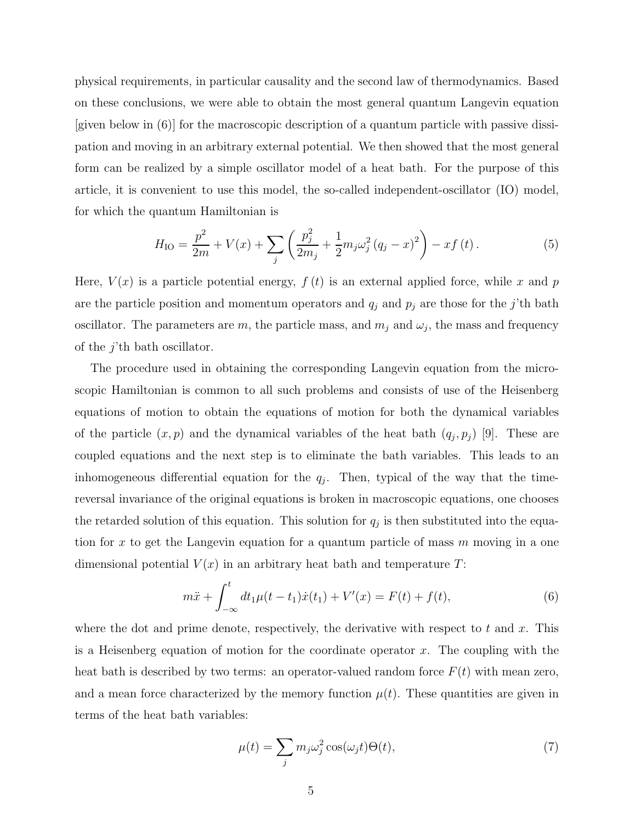physical requirements, in particular causality and the second law of thermodynamics. Based on these conclusions, we were able to obtain the most general quantum Langevin equation [given below in (6)] for the macroscopic description of a quantum particle with passive dissipation and moving in an arbitrary external potential. We then showed that the most general form can be realized by a simple oscillator model of a heat bath. For the purpose of this article, it is convenient to use this model, the so-called independent-oscillator (IO) model, for which the quantum Hamiltonian is

$$
H_{\rm IO} = \frac{p^2}{2m} + V(x) + \sum_{j} \left( \frac{p_j^2}{2m_j} + \frac{1}{2} m_j \omega_j^2 (q_j - x)^2 \right) - x f(t). \tag{5}
$$

Here,  $V(x)$  is a particle potential energy,  $f(t)$  is an external applied force, while x and p are the particle position and momentum operators and  $q_j$  and  $p_j$  are those for the j'th bath oscillator. The parameters are m, the particle mass, and  $m_j$  and  $\omega_j$ , the mass and frequency of the  $j'$ <sup>th</sup> bath oscillator.

The procedure used in obtaining the corresponding Langevin equation from the microscopic Hamiltonian is common to all such problems and consists of use of the Heisenberg equations of motion to obtain the equations of motion for both the dynamical variables of the particle  $(x, p)$  and the dynamical variables of the heat bath  $(q_j, p_j)$  [9]. These are coupled equations and the next step is to eliminate the bath variables. This leads to an inhomogeneous differential equation for the  $q_j$ . Then, typical of the way that the timereversal invariance of the original equations is broken in macroscopic equations, one chooses the retarded solution of this equation. This solution for  $q_j$  is then substituted into the equation for x to get the Langevin equation for a quantum particle of mass  $m$  moving in a one dimensional potential  $V(x)$  in an arbitrary heat bath and temperature T:

$$
m\ddot{x} + \int_{-\infty}^{t} dt_1 \mu(t - t_1)\dot{x}(t_1) + V'(x) = F(t) + f(t),
$$
\n(6)

where the dot and prime denote, respectively, the derivative with respect to  $t$  and  $x$ . This is a Heisenberg equation of motion for the coordinate operator  $x$ . The coupling with the heat bath is described by two terms: an operator-valued random force  $F(t)$  with mean zero, and a mean force characterized by the memory function  $\mu(t)$ . These quantities are given in terms of the heat bath variables:

$$
\mu(t) = \sum_{j} m_j \omega_j^2 \cos(\omega_j t) \Theta(t),\tag{7}
$$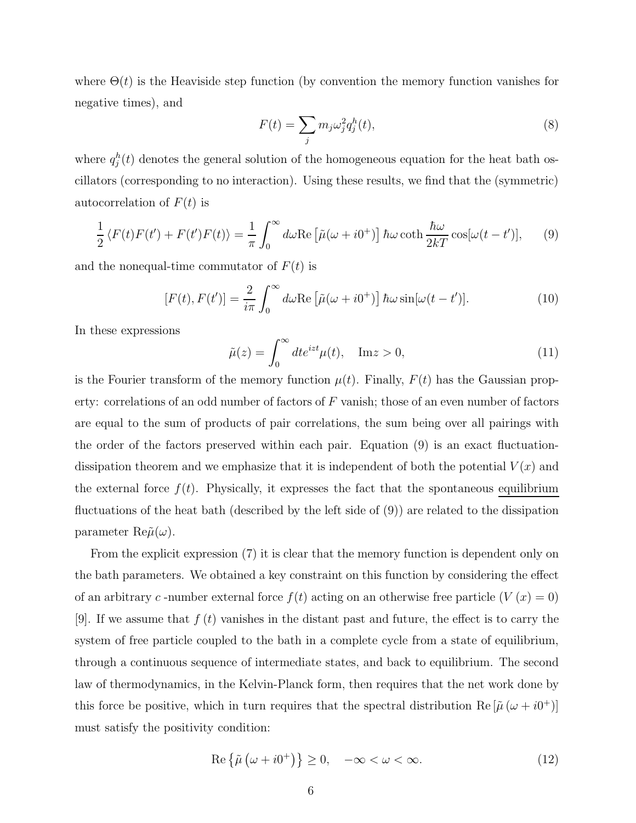where  $\Theta(t)$  is the Heaviside step function (by convention the memory function vanishes for negative times), and

$$
F(t) = \sum_{j} m_j \omega_j^2 q_j^h(t),\tag{8}
$$

where  $q_j^h(t)$  denotes the general solution of the homogeneous equation for the heat bath oscillators (corresponding to no interaction). Using these results, we find that the (symmetric) autocorrelation of  $F(t)$  is

$$
\frac{1}{2}\langle F(t)F(t') + F(t')F(t)\rangle = \frac{1}{\pi} \int_0^\infty d\omega \text{Re}\left[\tilde{\mu}(\omega + i0^+)\right] \hbar\omega\coth\frac{\hbar\omega}{2kT}\cos[\omega(t - t')],\tag{9}
$$

and the nonequal-time commutator of  $F(t)$  is

$$
[F(t), F(t')] = \frac{2}{i\pi} \int_0^\infty d\omega \text{Re} \left[ \tilde{\mu}(\omega + i0^+) \right] \hbar \omega \sin[\omega(t - t')]. \tag{10}
$$

In these expressions

$$
\tilde{\mu}(z) = \int_0^\infty dt e^{izt} \mu(t), \quad \text{Im} z > 0,
$$
\n(11)

is the Fourier transform of the memory function  $\mu(t)$ . Finally,  $F(t)$  has the Gaussian property: correlations of an odd number of factors of  $F$  vanish; those of an even number of factors are equal to the sum of products of pair correlations, the sum being over all pairings with the order of the factors preserved within each pair. Equation (9) is an exact fluctuationdissipation theorem and we emphasize that it is independent of both the potential  $V(x)$  and the external force  $f(t)$ . Physically, it expresses the fact that the spontaneous equilibrium fluctuations of the heat bath (described by the left side of (9)) are related to the dissipation parameter Re $\tilde{\mu}(\omega)$ .

From the explicit expression (7) it is clear that the memory function is dependent only on the bath parameters. We obtained a key constraint on this function by considering the effect of an arbitrary c -number external force  $f(t)$  acting on an otherwise free particle  $(V(x) = 0)$ [9]. If we assume that  $f(t)$  vanishes in the distant past and future, the effect is to carry the system of free particle coupled to the bath in a complete cycle from a state of equilibrium, through a continuous sequence of intermediate states, and back to equilibrium. The second law of thermodynamics, in the Kelvin-Planck form, then requires that the net work done by this force be positive, which in turn requires that the spectral distribution  $\text{Re}[\tilde{\mu}(\omega + i0^+)]$ must satisfy the positivity condition:

$$
\operatorname{Re}\left\{\tilde{\mu}\left(\omega+i0^{+}\right)\right\} \geq 0, \quad -\infty < \omega < \infty. \tag{12}
$$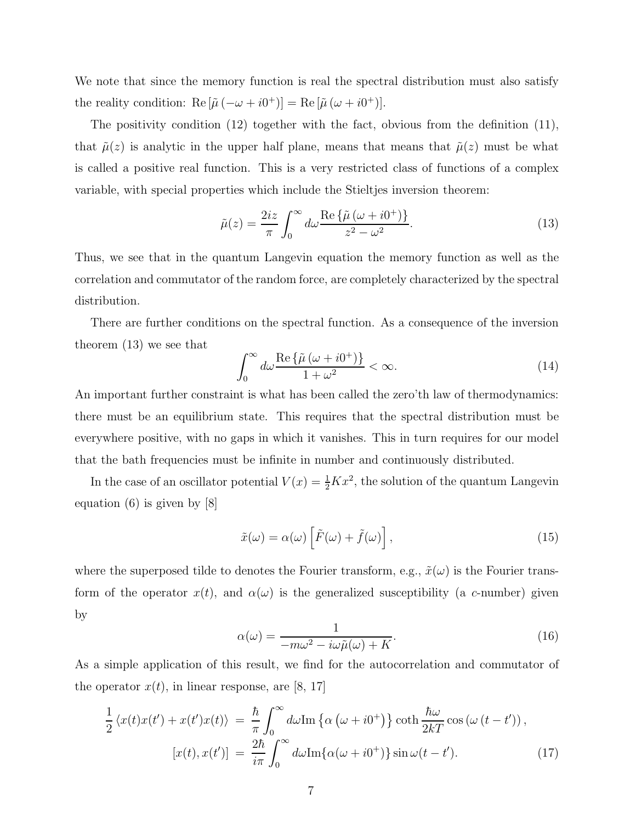We note that since the memory function is real the spectral distribution must also satisfy the reality condition:  $\text{Re}[\tilde{\mu}(-\omega+i0^+)] = \text{Re}[\tilde{\mu}(\omega+i0^+)].$ 

The positivity condition (12) together with the fact, obvious from the definition (11), that  $\tilde{\mu}(z)$  is analytic in the upper half plane, means that means that  $\tilde{\mu}(z)$  must be what is called a positive real function. This is a very restricted class of functions of a complex variable, with special properties which include the Stieltjes inversion theorem:

$$
\tilde{\mu}(z) = \frac{2iz}{\pi} \int_0^\infty d\omega \frac{\text{Re}\left\{\tilde{\mu}\left(\omega + i0^+\right)\right\}}{z^2 - \omega^2}.\tag{13}
$$

Thus, we see that in the quantum Langevin equation the memory function as well as the correlation and commutator of the random force, are completely characterized by the spectral distribution.

There are further conditions on the spectral function. As a consequence of the inversion theorem (13) we see that

$$
\int_0^\infty d\omega \frac{\text{Re}\left\{\tilde{\mu}\left(\omega+i0^+\right)\right\}}{1+\omega^2} < \infty. \tag{14}
$$

An important further constraint is what has been called the zero'th law of thermodynamics: there must be an equilibrium state. This requires that the spectral distribution must be everywhere positive, with no gaps in which it vanishes. This in turn requires for our model that the bath frequencies must be infinite in number and continuously distributed.

In the case of an oscillator potential  $V(x) = \frac{1}{2}Kx^2$ , the solution of the quantum Langevin equation (6) is given by [8]

$$
\tilde{x}(\omega) = \alpha(\omega) \left[ \tilde{F}(\omega) + \tilde{f}(\omega) \right],\tag{15}
$$

where the superposed tilde to denotes the Fourier transform, e.g.,  $\tilde{x}(\omega)$  is the Fourier transform of the operator  $x(t)$ , and  $\alpha(\omega)$  is the generalized susceptibility (a c-number) given by

$$
\alpha(\omega) = \frac{1}{-m\omega^2 - i\omega\tilde{\mu}(\omega) + K}.
$$
\n(16)

As a simple application of this result, we find for the autocorrelation and commutator of the operator  $x(t)$ , in linear response, are [8, 17]

$$
\frac{1}{2} \langle x(t)x(t') + x(t')x(t) \rangle = \frac{\hbar}{\pi} \int_0^\infty d\omega \text{Im} \left\{ \alpha \left( \omega + i0^+ \right) \right\} \coth \frac{\hbar \omega}{2kT} \cos \left( \omega \left( t - t' \right) \right),
$$

$$
[x(t), x(t')] = \frac{2\hbar}{i\pi} \int_0^\infty d\omega \text{Im} \{ \alpha(\omega + i0^+) \} \sin \omega(t - t'). \tag{17}
$$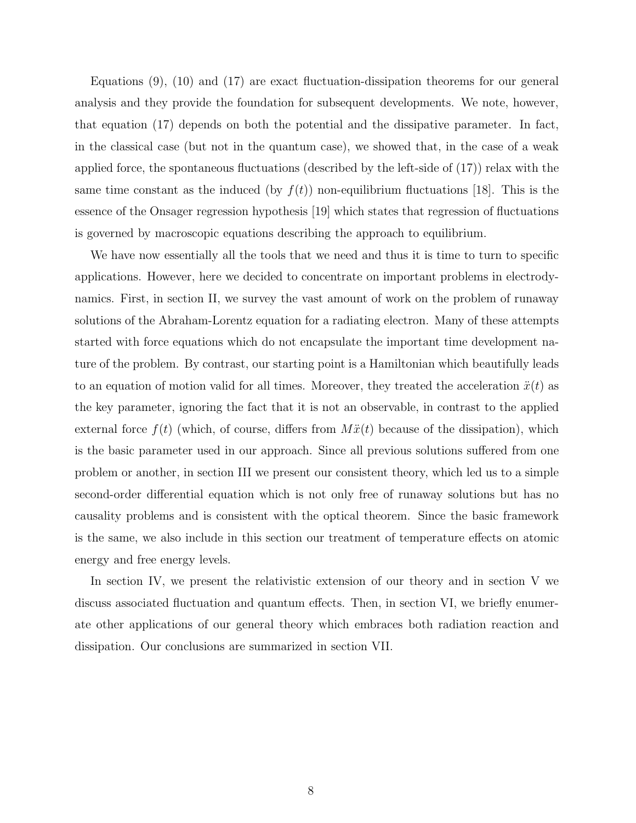Equations (9), (10) and (17) are exact fluctuation-dissipation theorems for our general analysis and they provide the foundation for subsequent developments. We note, however, that equation (17) depends on both the potential and the dissipative parameter. In fact, in the classical case (but not in the quantum case), we showed that, in the case of a weak applied force, the spontaneous fluctuations (described by the left-side of (17)) relax with the same time constant as the induced (by  $f(t)$ ) non-equilibrium fluctuations [18]. This is the essence of the Onsager regression hypothesis [19] which states that regression of fluctuations is governed by macroscopic equations describing the approach to equilibrium.

We have now essentially all the tools that we need and thus it is time to turn to specific applications. However, here we decided to concentrate on important problems in electrodynamics. First, in section II, we survey the vast amount of work on the problem of runaway solutions of the Abraham-Lorentz equation for a radiating electron. Many of these attempts started with force equations which do not encapsulate the important time development nature of the problem. By contrast, our starting point is a Hamiltonian which beautifully leads to an equation of motion valid for all times. Moreover, they treated the acceleration  $\ddot{x}(t)$  as the key parameter, ignoring the fact that it is not an observable, in contrast to the applied external force  $f(t)$  (which, of course, differs from  $M\ddot{x}(t)$  because of the dissipation), which is the basic parameter used in our approach. Since all previous solutions suffered from one problem or another, in section III we present our consistent theory, which led us to a simple second-order differential equation which is not only free of runaway solutions but has no causality problems and is consistent with the optical theorem. Since the basic framework is the same, we also include in this section our treatment of temperature effects on atomic energy and free energy levels.

In section IV, we present the relativistic extension of our theory and in section V we discuss associated fluctuation and quantum effects. Then, in section VI, we briefly enumerate other applications of our general theory which embraces both radiation reaction and dissipation. Our conclusions are summarized in section VII.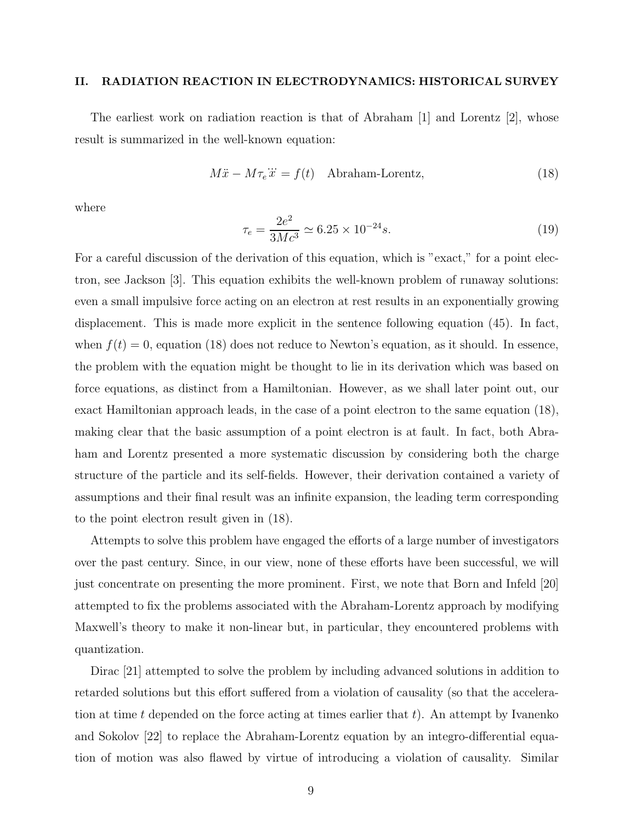#### II. RADIATION REACTION IN ELECTRODYNAMICS: HISTORICAL SURVEY

The earliest work on radiation reaction is that of Abraham [1] and Lorentz [2], whose result is summarized in the well-known equation:

$$
M\ddot{x} - M\tau_e \dddot{x} = f(t) \quad \text{Abraham-Lorentz},\tag{18}
$$

where

$$
\tau_e = \frac{2e^2}{3Mc^3} \simeq 6.25 \times 10^{-24} s. \tag{19}
$$

For a careful discussion of the derivation of this equation, which is "exact," for a point electron, see Jackson [3]. This equation exhibits the well-known problem of runaway solutions: even a small impulsive force acting on an electron at rest results in an exponentially growing displacement. This is made more explicit in the sentence following equation (45). In fact, when  $f(t) = 0$ , equation (18) does not reduce to Newton's equation, as it should. In essence, the problem with the equation might be thought to lie in its derivation which was based on force equations, as distinct from a Hamiltonian. However, as we shall later point out, our exact Hamiltonian approach leads, in the case of a point electron to the same equation (18), making clear that the basic assumption of a point electron is at fault. In fact, both Abraham and Lorentz presented a more systematic discussion by considering both the charge structure of the particle and its self-fields. However, their derivation contained a variety of assumptions and their final result was an infinite expansion, the leading term corresponding to the point electron result given in (18).

Attempts to solve this problem have engaged the efforts of a large number of investigators over the past century. Since, in our view, none of these efforts have been successful, we will just concentrate on presenting the more prominent. First, we note that Born and Infeld [20] attempted to fix the problems associated with the Abraham-Lorentz approach by modifying Maxwell's theory to make it non-linear but, in particular, they encountered problems with quantization.

Dirac [21] attempted to solve the problem by including advanced solutions in addition to retarded solutions but this effort suffered from a violation of causality (so that the acceleration at time t depended on the force acting at times earlier that  $t$ ). An attempt by Ivanenko and Sokolov [22] to replace the Abraham-Lorentz equation by an integro-differential equation of motion was also flawed by virtue of introducing a violation of causality. Similar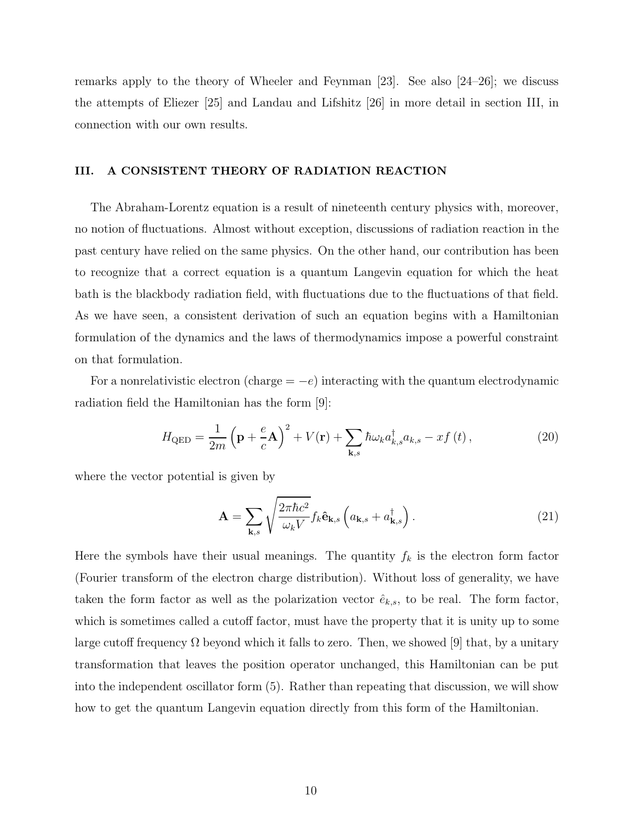remarks apply to the theory of Wheeler and Feynman [23]. See also [24–26]; we discuss the attempts of Eliezer [25] and Landau and Lifshitz [26] in more detail in section III, in connection with our own results.

#### III. A CONSISTENT THEORY OF RADIATION REACTION

The Abraham-Lorentz equation is a result of nineteenth century physics with, moreover, no notion of fluctuations. Almost without exception, discussions of radiation reaction in the past century have relied on the same physics. On the other hand, our contribution has been to recognize that a correct equation is a quantum Langevin equation for which the heat bath is the blackbody radiation field, with fluctuations due to the fluctuations of that field. As we have seen, a consistent derivation of such an equation begins with a Hamiltonian formulation of the dynamics and the laws of thermodynamics impose a powerful constraint on that formulation.

For a nonrelativistic electron (charge  $= -e$ ) interacting with the quantum electrodynamic radiation field the Hamiltonian has the form [9]:

$$
H_{\text{QED}} = \frac{1}{2m} \left( \mathbf{p} + \frac{e}{c} \mathbf{A} \right)^2 + V(\mathbf{r}) + \sum_{\mathbf{k},s} \hbar \omega_k a_{k,s}^\dagger a_{k,s} - x f(t) \,, \tag{20}
$$

where the vector potential is given by

$$
\mathbf{A} = \sum_{\mathbf{k},s} \sqrt{\frac{2\pi\hbar c^2}{\omega_k V}} f_k \hat{\mathbf{e}}_{\mathbf{k},s} \left( a_{\mathbf{k},s} + a_{\mathbf{k},s}^{\dagger} \right).
$$
 (21)

Here the symbols have their usual meanings. The quantity  $f_k$  is the electron form factor (Fourier transform of the electron charge distribution). Without loss of generality, we have taken the form factor as well as the polarization vector  $\hat{e}_{k,s}$ , to be real. The form factor, which is sometimes called a cutoff factor, must have the property that it is unity up to some large cutoff frequency  $\Omega$  beyond which it falls to zero. Then, we showed [9] that, by a unitary transformation that leaves the position operator unchanged, this Hamiltonian can be put into the independent oscillator form (5). Rather than repeating that discussion, we will show how to get the quantum Langevin equation directly from this form of the Hamiltonian.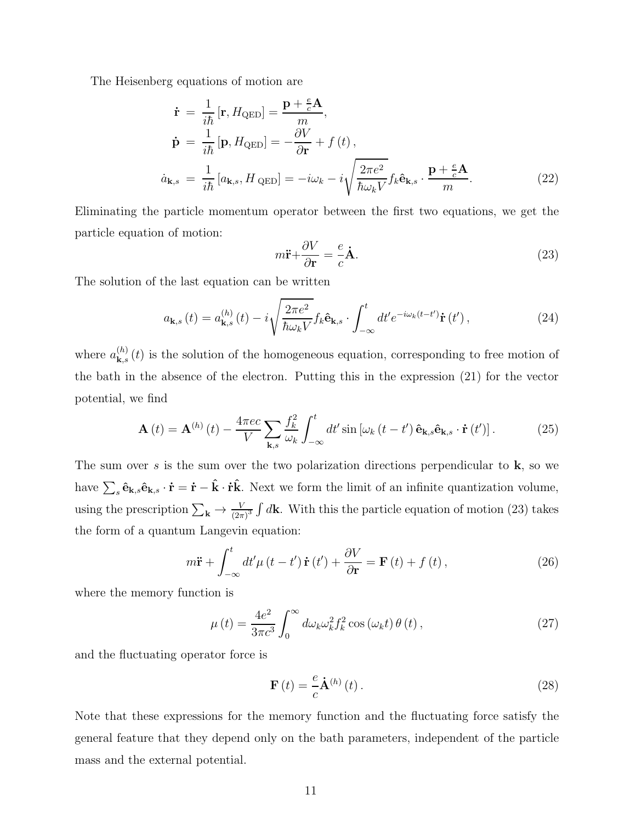The Heisenberg equations of motion are

$$
\dot{\mathbf{r}} = \frac{1}{i\hbar} [\mathbf{r}, H_{\text{QED}}] = \frac{\mathbf{p} + \frac{e}{c}\mathbf{A}}{m},
$$
\n
$$
\dot{\mathbf{p}} = \frac{1}{i\hbar} [\mathbf{p}, H_{\text{QED}}] = -\frac{\partial V}{\partial \mathbf{r}} + f(t),
$$
\n
$$
\dot{a}_{\mathbf{k},s} = \frac{1}{i\hbar} [a_{\mathbf{k},s}, H_{\text{QED}}] = -i\omega_k - i\sqrt{\frac{2\pi e^2}{\hbar \omega_k V}} f_k \hat{\mathbf{e}}_{\mathbf{k},s} \cdot \frac{\mathbf{p} + \frac{e}{c}\mathbf{A}}{m}.
$$
\n(22)

Eliminating the particle momentum operator between the first two equations, we get the particle equation of motion:

$$
m\ddot{\mathbf{r}} + \frac{\partial V}{\partial \mathbf{r}} = \frac{e}{c}\dot{\mathbf{A}}.
$$
 (23)

The solution of the last equation can be written

$$
a_{\mathbf{k},s}(t) = a_{\mathbf{k},s}^{(h)}(t) - i\sqrt{\frac{2\pi e^2}{\hbar\omega_k V}} f_k \hat{\mathbf{e}}_{\mathbf{k},s} \cdot \int_{-\infty}^t dt' e^{-i\omega_k(t-t')} \dot{\mathbf{r}}(t'),\tag{24}
$$

where  $a_{\mathbf{k},s}^{(h)}(t)$  is the solution of the homogeneous equation, corresponding to free motion of the bath in the absence of the electron. Putting this in the expression (21) for the vector potential, we find

$$
\mathbf{A}\left(t\right) = \mathbf{A}^{\left(h\right)}\left(t\right) - \frac{4\pi e c}{V} \sum_{\mathbf{k},s} \frac{f_k^2}{\omega_k} \int_{-\infty}^t dt' \sin\left[\omega_k \left(t - t'\right) \hat{\mathbf{e}}_{\mathbf{k},s} \hat{\mathbf{e}}_{\mathbf{k},s} \cdot \dot{\mathbf{r}}\left(t'\right)\right].\tag{25}
$$

The sum over s is the sum over the two polarization directions perpendicular to  $\bf{k}$ , so we have  $\sum_s \hat{\mathbf{e}}_{\mathbf{k},s} \hat{\mathbf{e}}_{\mathbf{k},s} \cdot \dot{\mathbf{r}} = \dot{\mathbf{r}} - \hat{\mathbf{k}} \cdot \dot{\mathbf{r}} \hat{\mathbf{k}}$ . Next we form the limit of an infinite quantization volume, using the prescription  $\sum_{\mathbf{k}} \to \frac{V}{(2\pi)^3} \int d\mathbf{k}$ . With this the particle equation of motion (23) takes the form of a quantum Langevin equation:

$$
m\ddot{\mathbf{r}} + \int_{-\infty}^{t} dt' \mu (t - t') \dot{\mathbf{r}} (t') + \frac{\partial V}{\partial \mathbf{r}} = \mathbf{F} (t) + f (t) , \qquad (26)
$$

where the memory function is

$$
\mu(t) = \frac{4e^2}{3\pi c^3} \int_0^\infty d\omega_k \omega_k^2 f_k^2 \cos\left(\omega_k t\right) \theta\left(t\right),\tag{27}
$$

and the fluctuating operator force is

$$
\mathbf{F}\left(t\right) = \frac{e}{c}\dot{\mathbf{A}}^{(h)}\left(t\right). \tag{28}
$$

Note that these expressions for the memory function and the fluctuating force satisfy the general feature that they depend only on the bath parameters, independent of the particle mass and the external potential.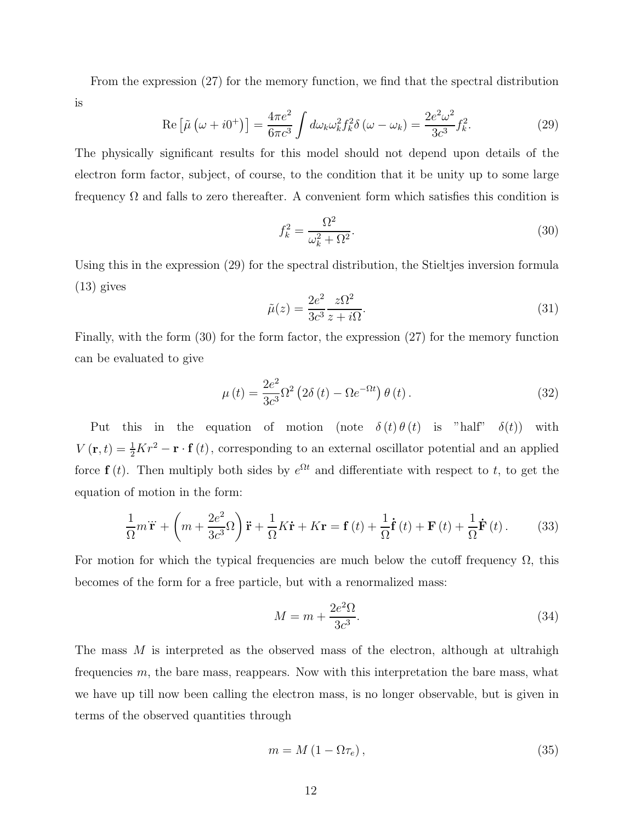From the expression (27) for the memory function, we find that the spectral distribution is

$$
\operatorname{Re}\left[\tilde{\mu}\left(\omega+i0^{+}\right)\right] = \frac{4\pi e^2}{6\pi c^3} \int d\omega_k \omega_k^2 f_k^2 \delta\left(\omega - \omega_k\right) = \frac{2e^2 \omega^2}{3c^3} f_k^2. \tag{29}
$$

The physically significant results for this model should not depend upon details of the electron form factor, subject, of course, to the condition that it be unity up to some large frequency  $\Omega$  and falls to zero thereafter. A convenient form which satisfies this condition is

$$
f_k^2 = \frac{\Omega^2}{\omega_k^2 + \Omega^2}.\tag{30}
$$

Using this in the expression (29) for the spectral distribution, the Stieltjes inversion formula (13) gives

$$
\tilde{\mu}(z) = \frac{2e^2}{3c^3} \frac{z\Omega^2}{z + i\Omega}.
$$
\n(31)

Finally, with the form (30) for the form factor, the expression (27) for the memory function can be evaluated to give

$$
\mu(t) = \frac{2e^2}{3c^3} \Omega^2 \left(2\delta\left(t\right) - \Omega e^{-\Omega t}\right) \theta\left(t\right). \tag{32}
$$

Put this in the equation of motion (note  $\delta(t)\theta(t)$  is "half"  $\delta(t)$ ) with  $V(\mathbf{r},t) = \frac{1}{2}Kr^2 - \mathbf{r} \cdot \mathbf{f}(t)$ , corresponding to an external oscillator potential and an applied force  $f(t)$ . Then multiply both sides by  $e^{\Omega t}$  and differentiate with respect to t, to get the equation of motion in the form:

$$
\frac{1}{\Omega}m\ddot{\mathbf{r}} + \left(m + \frac{2e^2}{3c^3}\Omega\right)\ddot{\mathbf{r}} + \frac{1}{\Omega}K\dot{\mathbf{r}} + K\mathbf{r} = \mathbf{f}\left(t\right) + \frac{1}{\Omega}\dot{\mathbf{f}}\left(t\right) + \mathbf{F}\left(t\right) + \frac{1}{\Omega}\dot{\mathbf{F}}\left(t\right). \tag{33}
$$

For motion for which the typical frequencies are much below the cutoff frequency  $\Omega$ , this becomes of the form for a free particle, but with a renormalized mass:

$$
M = m + \frac{2e^2\Omega}{3c^3}.\tag{34}
$$

The mass M is interpreted as the observed mass of the electron, although at ultrahigh frequencies  $m$ , the bare mass, reappears. Now with this interpretation the bare mass, what we have up till now been calling the electron mass, is no longer observable, but is given in terms of the observed quantities through

$$
m = M\left(1 - \Omega \tau_e\right),\tag{35}
$$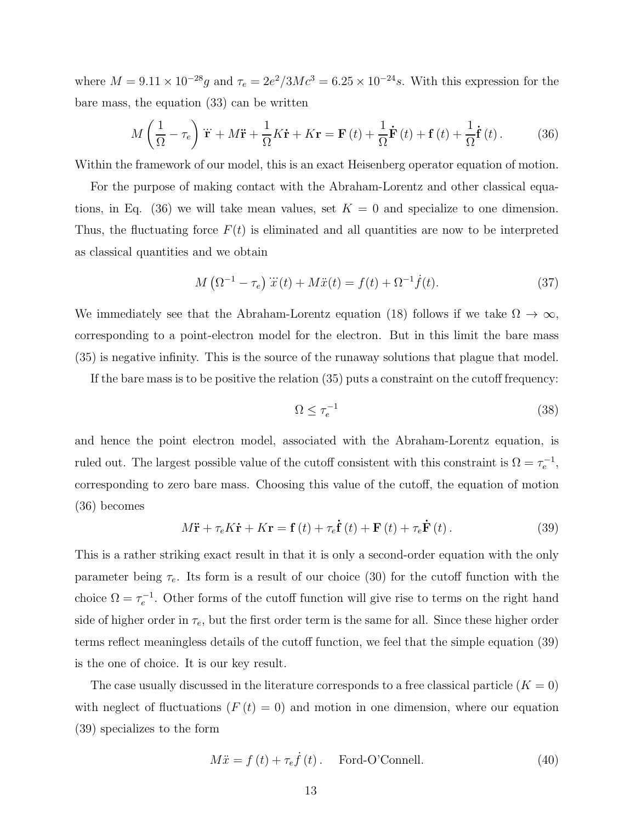where  $M = 9.11 \times 10^{-28} g$  and  $\tau_e = 2e^2/3Mc^3 = 6.25 \times 10^{-24} s$ . With this expression for the bare mass, the equation (33) can be written

$$
M\left(\frac{1}{\Omega} - \tau_e\right)\ddot{\mathbf{r}} + M\ddot{\mathbf{r}} + \frac{1}{\Omega}K\dot{\mathbf{r}} + K\mathbf{r} = \mathbf{F}\left(t\right) + \frac{1}{\Omega}\dot{\mathbf{F}}\left(t\right) + \mathbf{f}\left(t\right) + \frac{1}{\Omega}\dot{\mathbf{f}}\left(t\right). \tag{36}
$$

Within the framework of our model, this is an exact Heisenberg operator equation of motion.

For the purpose of making contact with the Abraham-Lorentz and other classical equations, in Eq. (36) we will take mean values, set  $K = 0$  and specialize to one dimension. Thus, the fluctuating force  $F(t)$  is eliminated and all quantities are now to be interpreted as classical quantities and we obtain

$$
M\left(\Omega^{-1} - \tau_e\right) \ddot{x}(t) + M\ddot{x}(t) = f(t) + \Omega^{-1} \dot{f}(t). \tag{37}
$$

We immediately see that the Abraham-Lorentz equation (18) follows if we take  $\Omega \to \infty$ , corresponding to a point-electron model for the electron. But in this limit the bare mass (35) is negative infinity. This is the source of the runaway solutions that plague that model.

If the bare mass is to be positive the relation (35) puts a constraint on the cutoff frequency:

$$
\Omega \le \tau_e^{-1} \tag{38}
$$

and hence the point electron model, associated with the Abraham-Lorentz equation, is ruled out. The largest possible value of the cutoff consistent with this constraint is  $\Omega = \tau_e^{-1}$ , corresponding to zero bare mass. Choosing this value of the cutoff, the equation of motion (36) becomes

$$
M\ddot{\mathbf{r}} + \tau_e K \dot{\mathbf{r}} + K\mathbf{r} = \mathbf{f}(t) + \tau_e \dot{\mathbf{f}}(t) + \mathbf{F}(t) + \tau_e \dot{\mathbf{F}}(t).
$$
 (39)

This is a rather striking exact result in that it is only a second-order equation with the only parameter being  $\tau_e$ . Its form is a result of our choice (30) for the cutoff function with the choice  $\Omega = \tau_e^{-1}$ . Other forms of the cutoff function will give rise to terms on the right hand side of higher order in  $\tau_e$ , but the first order term is the same for all. Since these higher order terms reflect meaningless details of the cutoff function, we feel that the simple equation (39) is the one of choice. It is our key result.

The case usually discussed in the literature corresponds to a free classical particle  $(K = 0)$ with neglect of fluctuations  $(F(t) = 0)$  and motion in one dimension, where our equation (39) specializes to the form

$$
M\ddot{x} = f(t) + \tau_e \dot{f}(t). \quad \text{Ford-O'Connell.} \tag{40}
$$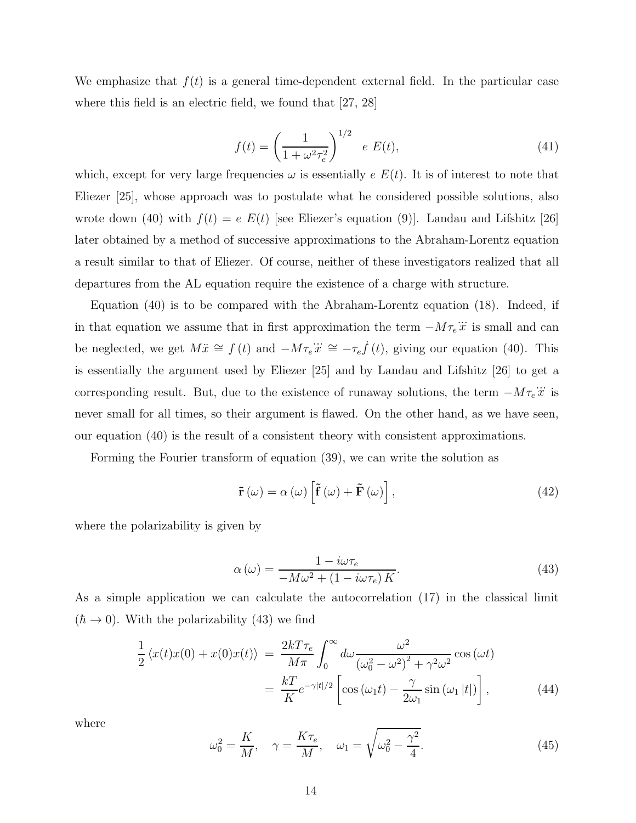We emphasize that  $f(t)$  is a general time-dependent external field. In the particular case where this field is an electric field, we found that [27, 28]

$$
f(t) = \left(\frac{1}{1 + \omega^2 \tau_e^2}\right)^{1/2} \quad e \ E(t), \tag{41}
$$

which, except for very large frequencies  $\omega$  is essentially  $e E(t)$ . It is of interest to note that Eliezer [25], whose approach was to postulate what he considered possible solutions, also wrote down (40) with  $f(t) = e E(t)$  [see Eliezer's equation (9)]. Landau and Lifshitz [26] later obtained by a method of successive approximations to the Abraham-Lorentz equation a result similar to that of Eliezer. Of course, neither of these investigators realized that all departures from the AL equation require the existence of a charge with structure.

Equation (40) is to be compared with the Abraham-Lorentz equation (18). Indeed, if in that equation we assume that in first approximation the term  $-M\tau_e\ddot{x}$  is small and can be neglected, we get  $M\ddot{x} \cong f(t)$  and  $-M\tau_e\ddot{x} \cong -\tau_e\dot{f}(t)$ , giving our equation (40). This is essentially the argument used by Eliezer [25] and by Landau and Lifshitz [26] to get a corresponding result. But, due to the existence of runaway solutions, the term  $-M\tau_e\dddot{x}$  is never small for all times, so their argument is flawed. On the other hand, as we have seen, our equation (40) is the result of a consistent theory with consistent approximations.

Forming the Fourier transform of equation (39), we can write the solution as

$$
\tilde{\mathbf{r}}\left(\omega\right) = \alpha\left(\omega\right)\left[\tilde{\mathbf{f}}\left(\omega\right) + \tilde{\mathbf{F}}\left(\omega\right)\right],\tag{42}
$$

where the polarizability is given by

$$
\alpha(\omega) = \frac{1 - i\omega\tau_e}{-M\omega^2 + (1 - i\omega\tau_e)K}.
$$
\n(43)

As a simple application we can calculate the autocorrelation (17) in the classical limit  $(\hbar \rightarrow 0)$ . With the polarizability (43) we find

$$
\frac{1}{2} \langle x(t)x(0) + x(0)x(t) \rangle = \frac{2kT\tau_e}{M\pi} \int_0^\infty d\omega \frac{\omega^2}{(\omega_0^2 - \omega^2)^2 + \gamma^2 \omega^2} \cos(\omega t)
$$

$$
= \frac{kT}{K} e^{-\gamma|t|/2} \left[ \cos(\omega_1 t) - \frac{\gamma}{2\omega_1} \sin(\omega_1 |t|) \right], \tag{44}
$$

where

$$
\omega_0^2 = \frac{K}{M}, \quad \gamma = \frac{K\tau_e}{M}, \quad \omega_1 = \sqrt{\omega_0^2 - \frac{\gamma^2}{4}}.
$$
 (45)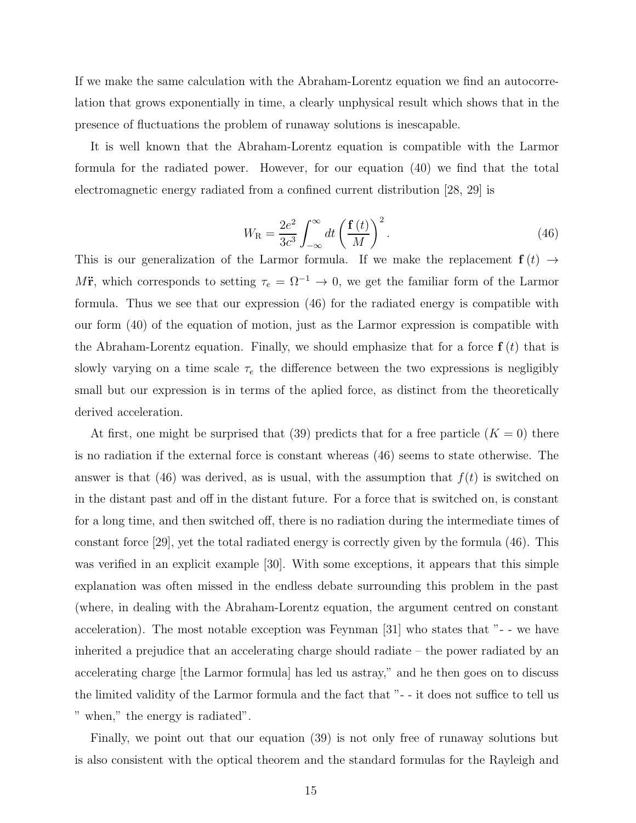If we make the same calculation with the Abraham-Lorentz equation we find an autocorrelation that grows exponentially in time, a clearly unphysical result which shows that in the presence of fluctuations the problem of runaway solutions is inescapable.

It is well known that the Abraham-Lorentz equation is compatible with the Larmor formula for the radiated power. However, for our equation (40) we find that the total electromagnetic energy radiated from a confined current distribution [28, 29] is

$$
W_{\rm R} = \frac{2e^2}{3c^3} \int_{-\infty}^{\infty} dt \left(\frac{\mathbf{f}(t)}{M}\right)^2.
$$
 (46)

This is our generalization of the Larmor formula. If we make the replacement  $f(t) \rightarrow$ M**ï**, which corresponds to setting  $\tau_e = \Omega^{-1} \to 0$ , we get the familiar form of the Larmor formula. Thus we see that our expression (46) for the radiated energy is compatible with our form (40) of the equation of motion, just as the Larmor expression is compatible with the Abraham-Lorentz equation. Finally, we should emphasize that for a force  $f(t)$  that is slowly varying on a time scale  $\tau_e$  the difference between the two expressions is negligibly small but our expression is in terms of the aplied force, as distinct from the theoretically derived acceleration.

At first, one might be surprised that (39) predicts that for a free particle  $(K = 0)$  there is no radiation if the external force is constant whereas (46) seems to state otherwise. The answer is that (46) was derived, as is usual, with the assumption that  $f(t)$  is switched on in the distant past and off in the distant future. For a force that is switched on, is constant for a long time, and then switched off, there is no radiation during the intermediate times of constant force [29], yet the total radiated energy is correctly given by the formula (46). This was verified in an explicit example [30]. With some exceptions, it appears that this simple explanation was often missed in the endless debate surrounding this problem in the past (where, in dealing with the Abraham-Lorentz equation, the argument centred on constant acceleration). The most notable exception was Feynman [31] who states that "- - we have inherited a prejudice that an accelerating charge should radiate – the power radiated by an accelerating charge [the Larmor formula] has led us astray," and he then goes on to discuss the limited validity of the Larmor formula and the fact that "- - it does not suffice to tell us " when," the energy is radiated".

Finally, we point out that our equation (39) is not only free of runaway solutions but is also consistent with the optical theorem and the standard formulas for the Rayleigh and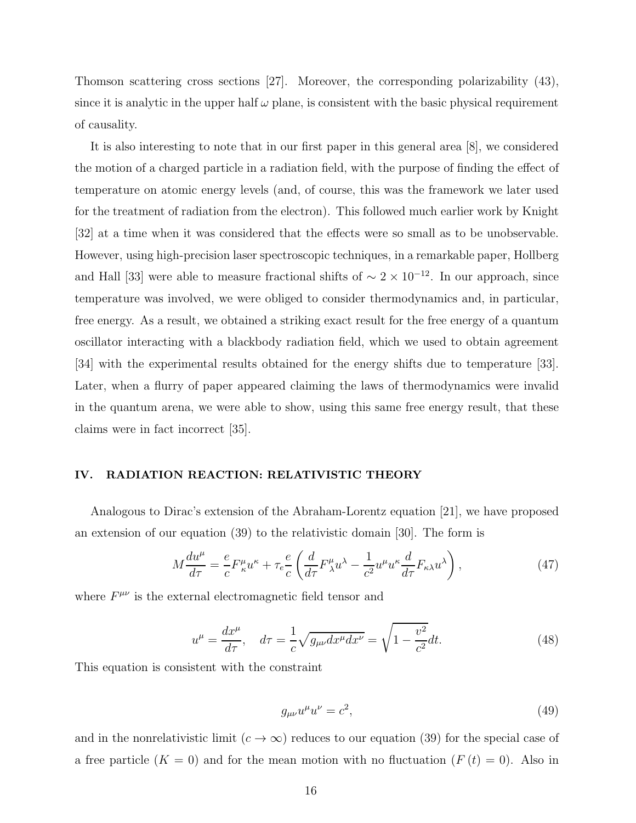Thomson scattering cross sections [27]. Moreover, the corresponding polarizability (43), since it is analytic in the upper half  $\omega$  plane, is consistent with the basic physical requirement of causality.

It is also interesting to note that in our first paper in this general area [8], we considered the motion of a charged particle in a radiation field, with the purpose of finding the effect of temperature on atomic energy levels (and, of course, this was the framework we later used for the treatment of radiation from the electron). This followed much earlier work by Knight [32] at a time when it was considered that the effects were so small as to be unobservable. However, using high-precision laser spectroscopic techniques, in a remarkable paper, Hollberg and Hall [33] were able to measure fractional shifts of  $\sim 2 \times 10^{-12}$ . In our approach, since temperature was involved, we were obliged to consider thermodynamics and, in particular, free energy. As a result, we obtained a striking exact result for the free energy of a quantum oscillator interacting with a blackbody radiation field, which we used to obtain agreement [34] with the experimental results obtained for the energy shifts due to temperature [33]. Later, when a flurry of paper appeared claiming the laws of thermodynamics were invalid in the quantum arena, we were able to show, using this same free energy result, that these claims were in fact incorrect [35].

#### IV. RADIATION REACTION: RELATIVISTIC THEORY

Analogous to Dirac's extension of the Abraham-Lorentz equation [21], we have proposed an extension of our equation (39) to the relativistic domain [30]. The form is

$$
M\frac{du^{\mu}}{d\tau} = \frac{e}{c}F^{\mu}_{\kappa}u^{\kappa} + \tau_{e}\frac{e}{c}\left(\frac{d}{d\tau}F^{\mu}_{\lambda}u^{\lambda} - \frac{1}{c^{2}}u^{\mu}u^{\kappa}\frac{d}{d\tau}F_{\kappa\lambda}u^{\lambda}\right),\tag{47}
$$

where  $F^{\mu\nu}$  is the external electromagnetic field tensor and

$$
u^{\mu} = \frac{dx^{\mu}}{d\tau}, \quad d\tau = \frac{1}{c} \sqrt{g_{\mu\nu} dx^{\mu} dx^{\nu}} = \sqrt{1 - \frac{v^2}{c^2}} dt. \tag{48}
$$

This equation is consistent with the constraint

$$
g_{\mu\nu}u^{\mu}u^{\nu} = c^2,\tag{49}
$$

and in the nonrelativistic limit  $(c \to \infty)$  reduces to our equation (39) for the special case of a free particle  $(K = 0)$  and for the mean motion with no fluctuation  $(F(t) = 0)$ . Also in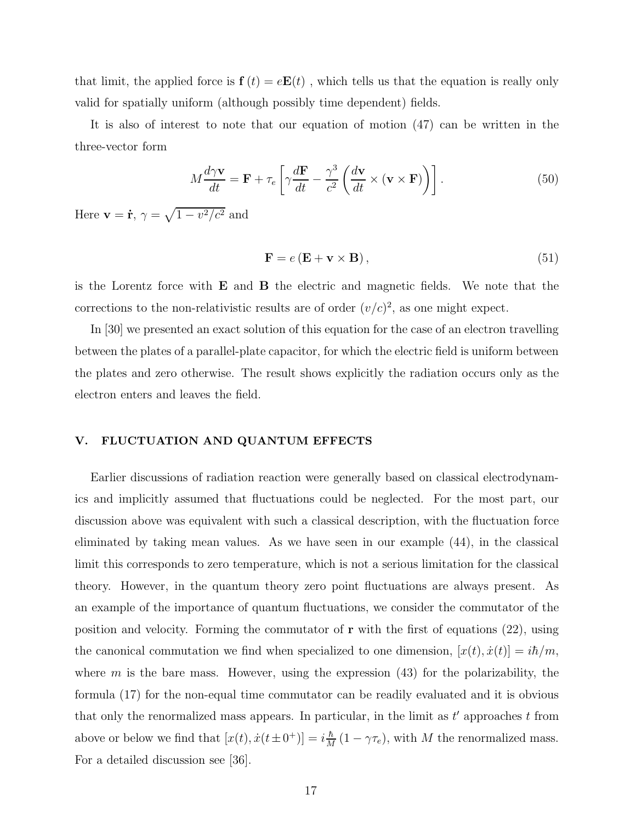that limit, the applied force is  $f(t) = eE(t)$ , which tells us that the equation is really only valid for spatially uniform (although possibly time dependent) fields.

It is also of interest to note that our equation of motion (47) can be written in the three-vector form

$$
M\frac{d\gamma \mathbf{v}}{dt} = \mathbf{F} + \tau_e \left[ \gamma \frac{d\mathbf{F}}{dt} - \frac{\gamma^3}{c^2} \left( \frac{d\mathbf{v}}{dt} \times (\mathbf{v} \times \mathbf{F}) \right) \right].
$$
 (50)

Here  $\mathbf{v} = \dot{\mathbf{r}}, \gamma = \sqrt{1 - v^2/c^2}$  and

$$
\mathbf{F} = e\left(\mathbf{E} + \mathbf{v} \times \mathbf{B}\right),\tag{51}
$$

is the Lorentz force with  $E$  and  $B$  the electric and magnetic fields. We note that the corrections to the non-relativistic results are of order  $(v/c)^2$ , as one might expect.

In [30] we presented an exact solution of this equation for the case of an electron travelling between the plates of a parallel-plate capacitor, for which the electric field is uniform between the plates and zero otherwise. The result shows explicitly the radiation occurs only as the electron enters and leaves the field.

# V. FLUCTUATION AND QUANTUM EFFECTS

Earlier discussions of radiation reaction were generally based on classical electrodynamics and implicitly assumed that fluctuations could be neglected. For the most part, our discussion above was equivalent with such a classical description, with the fluctuation force eliminated by taking mean values. As we have seen in our example (44), in the classical limit this corresponds to zero temperature, which is not a serious limitation for the classical theory. However, in the quantum theory zero point fluctuations are always present. As an example of the importance of quantum fluctuations, we consider the commutator of the position and velocity. Forming the commutator of  $\bf{r}$  with the first of equations (22), using the canonical commutation we find when specialized to one dimension,  $[x(t), \dot{x}(t)] = i\hbar/m$ , where  $m$  is the bare mass. However, using the expression  $(43)$  for the polarizability, the formula (17) for the non-equal time commutator can be readily evaluated and it is obvious that only the renormalized mass appears. In particular, in the limit as  $t'$  approaches  $t$  from above or below we find that  $[x(t), \dot{x}(t \pm 0^+)] = i \frac{\hbar}{M}$  $\frac{h}{M}(1-\gamma\tau_e)$ , with M the renormalized mass. For a detailed discussion see [36].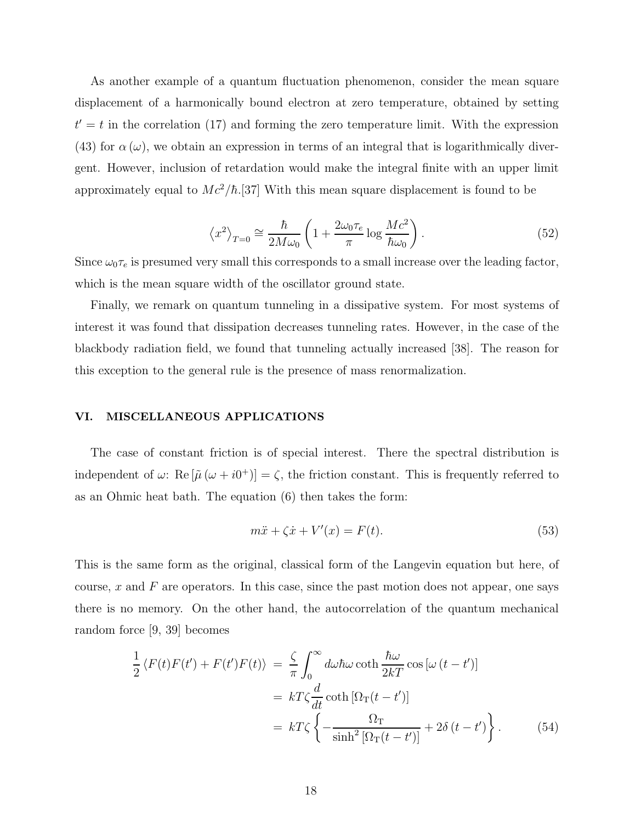As another example of a quantum fluctuation phenomenon, consider the mean square displacement of a harmonically bound electron at zero temperature, obtained by setting  $t' = t$  in the correlation (17) and forming the zero temperature limit. With the expression (43) for  $\alpha(\omega)$ , we obtain an expression in terms of an integral that is logarithmically divergent. However, inclusion of retardation would make the integral finite with an upper limit approximately equal to  $Mc^2/\hbar$ .[37] With this mean square displacement is found to be

$$
\left\langle x^{2}\right\rangle_{T=0} \cong \frac{\hbar}{2M\omega_{0}} \left(1 + \frac{2\omega_{0}\tau_{e}}{\pi} \log \frac{Mc^{2}}{\hbar \omega_{0}}\right). \tag{52}
$$

Since  $\omega_0 \tau_e$  is presumed very small this corresponds to a small increase over the leading factor, which is the mean square width of the oscillator ground state.

Finally, we remark on quantum tunneling in a dissipative system. For most systems of interest it was found that dissipation decreases tunneling rates. However, in the case of the blackbody radiation field, we found that tunneling actually increased [38]. The reason for this exception to the general rule is the presence of mass renormalization.

#### VI. MISCELLANEOUS APPLICATIONS

The case of constant friction is of special interest. There the spectral distribution is independent of  $\omega$ : Re  $[\tilde{\mu}(\omega + i0^+)] = \zeta$ , the friction constant. This is frequently referred to as an Ohmic heat bath. The equation (6) then takes the form:

$$
m\ddot{x} + \zeta \dot{x} + V'(x) = F(t). \tag{53}
$$

This is the same form as the original, classical form of the Langevin equation but here, of course, x and  $F$  are operators. In this case, since the past motion does not appear, one says there is no memory. On the other hand, the autocorrelation of the quantum mechanical random force [9, 39] becomes

$$
\frac{1}{2} \langle F(t)F(t') + F(t')F(t) \rangle = \frac{\zeta}{\pi} \int_0^\infty d\omega \hbar \omega \coth \frac{\hbar \omega}{2kT} \cos \left[\omega (t - t')\right]
$$

$$
= kT \zeta \frac{d}{dt} \coth \left[\Omega_T(t - t')\right]
$$

$$
= kT \zeta \left\{ -\frac{\Omega_T}{\sinh^2 \left[\Omega_T(t - t')\right]} + 2\delta (t - t') \right\}.
$$
(54)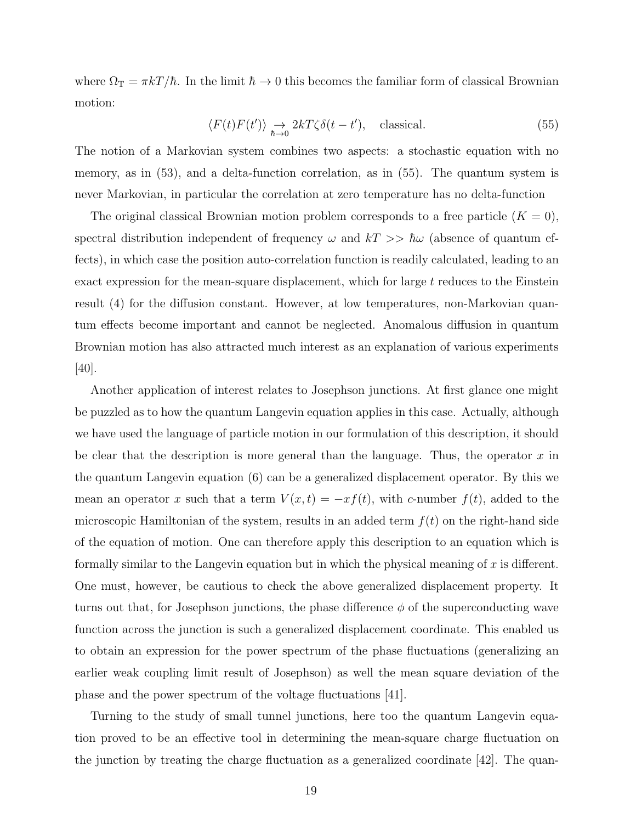where  $\Omega_{\rm T} = \pi kT/\hbar$ . In the limit  $\hbar \to 0$  this becomes the familiar form of classical Brownian motion:

$$
\langle F(t)F(t')\rangle \underset{\hbar \to 0}{\to} 2kT\zeta \delta(t - t'), \quad \text{classical.} \tag{55}
$$

The notion of a Markovian system combines two aspects: a stochastic equation with no memory, as in (53), and a delta-function correlation, as in (55). The quantum system is never Markovian, in particular the correlation at zero temperature has no delta-function

The original classical Brownian motion problem corresponds to a free particle  $(K = 0)$ , spectral distribution independent of frequency  $\omega$  and  $kT >> \hbar \omega$  (absence of quantum effects), in which case the position auto-correlation function is readily calculated, leading to an exact expression for the mean-square displacement, which for large  $t$  reduces to the Einstein result (4) for the diffusion constant. However, at low temperatures, non-Markovian quantum effects become important and cannot be neglected. Anomalous diffusion in quantum Brownian motion has also attracted much interest as an explanation of various experiments  $|40|$ .

Another application of interest relates to Josephson junctions. At first glance one might be puzzled as to how the quantum Langevin equation applies in this case. Actually, although we have used the language of particle motion in our formulation of this description, it should be clear that the description is more general than the language. Thus, the operator  $x$  in the quantum Langevin equation (6) can be a generalized displacement operator. By this we mean an operator x such that a term  $V(x,t) = -xf(t)$ , with c-number  $f(t)$ , added to the microscopic Hamiltonian of the system, results in an added term  $f(t)$  on the right-hand side of the equation of motion. One can therefore apply this description to an equation which is formally similar to the Langevin equation but in which the physical meaning of  $x$  is different. One must, however, be cautious to check the above generalized displacement property. It turns out that, for Josephson junctions, the phase difference  $\phi$  of the superconducting wave function across the junction is such a generalized displacement coordinate. This enabled us to obtain an expression for the power spectrum of the phase fluctuations (generalizing an earlier weak coupling limit result of Josephson) as well the mean square deviation of the phase and the power spectrum of the voltage fluctuations [41].

Turning to the study of small tunnel junctions, here too the quantum Langevin equation proved to be an effective tool in determining the mean-square charge fluctuation on the junction by treating the charge fluctuation as a generalized coordinate [42]. The quan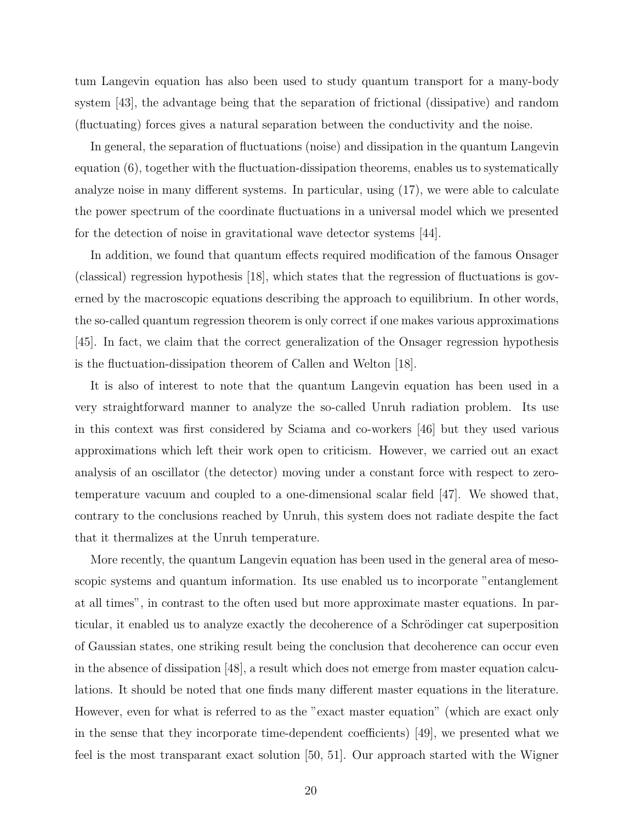tum Langevin equation has also been used to study quantum transport for a many-body system [43], the advantage being that the separation of frictional (dissipative) and random (fluctuating) forces gives a natural separation between the conductivity and the noise.

In general, the separation of fluctuations (noise) and dissipation in the quantum Langevin equation (6), together with the fluctuation-dissipation theorems, enables us to systematically analyze noise in many different systems. In particular, using (17), we were able to calculate the power spectrum of the coordinate fluctuations in a universal model which we presented for the detection of noise in gravitational wave detector systems [44].

In addition, we found that quantum effects required modification of the famous Onsager (classical) regression hypothesis [18], which states that the regression of fluctuations is governed by the macroscopic equations describing the approach to equilibrium. In other words, the so-called quantum regression theorem is only correct if one makes various approximations [45]. In fact, we claim that the correct generalization of the Onsager regression hypothesis is the fluctuation-dissipation theorem of Callen and Welton [18].

It is also of interest to note that the quantum Langevin equation has been used in a very straightforward manner to analyze the so-called Unruh radiation problem. Its use in this context was first considered by Sciama and co-workers [46] but they used various approximations which left their work open to criticism. However, we carried out an exact analysis of an oscillator (the detector) moving under a constant force with respect to zerotemperature vacuum and coupled to a one-dimensional scalar field [47]. We showed that, contrary to the conclusions reached by Unruh, this system does not radiate despite the fact that it thermalizes at the Unruh temperature.

More recently, the quantum Langevin equation has been used in the general area of mesoscopic systems and quantum information. Its use enabled us to incorporate "entanglement at all times", in contrast to the often used but more approximate master equations. In particular, it enabled us to analyze exactly the decoherence of a Schrödinger cat superposition of Gaussian states, one striking result being the conclusion that decoherence can occur even in the absence of dissipation [48], a result which does not emerge from master equation calculations. It should be noted that one finds many different master equations in the literature. However, even for what is referred to as the "exact master equation" (which are exact only in the sense that they incorporate time-dependent coefficients) [49], we presented what we feel is the most transparant exact solution [50, 51]. Our approach started with the Wigner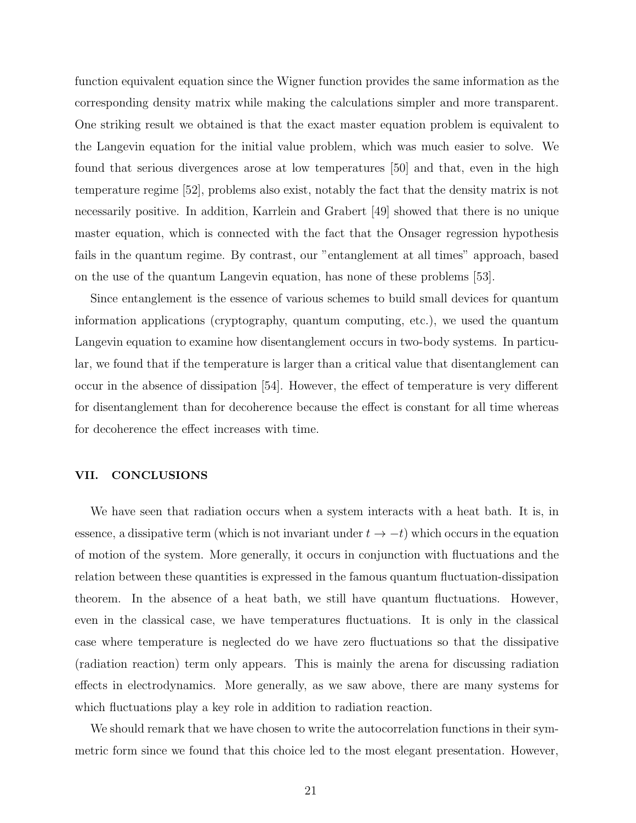function equivalent equation since the Wigner function provides the same information as the corresponding density matrix while making the calculations simpler and more transparent. One striking result we obtained is that the exact master equation problem is equivalent to the Langevin equation for the initial value problem, which was much easier to solve. We found that serious divergences arose at low temperatures [50] and that, even in the high temperature regime [52], problems also exist, notably the fact that the density matrix is not necessarily positive. In addition, Karrlein and Grabert [49] showed that there is no unique master equation, which is connected with the fact that the Onsager regression hypothesis fails in the quantum regime. By contrast, our "entanglement at all times" approach, based on the use of the quantum Langevin equation, has none of these problems [53].

Since entanglement is the essence of various schemes to build small devices for quantum information applications (cryptography, quantum computing, etc.), we used the quantum Langevin equation to examine how disentanglement occurs in two-body systems. In particular, we found that if the temperature is larger than a critical value that disentanglement can occur in the absence of dissipation [54]. However, the effect of temperature is very different for disentanglement than for decoherence because the effect is constant for all time whereas for decoherence the effect increases with time.

# VII. CONCLUSIONS

We have seen that radiation occurs when a system interacts with a heat bath. It is, in essence, a dissipative term (which is not invariant under  $t \to -t$ ) which occurs in the equation of motion of the system. More generally, it occurs in conjunction with fluctuations and the relation between these quantities is expressed in the famous quantum fluctuation-dissipation theorem. In the absence of a heat bath, we still have quantum fluctuations. However, even in the classical case, we have temperatures fluctuations. It is only in the classical case where temperature is neglected do we have zero fluctuations so that the dissipative (radiation reaction) term only appears. This is mainly the arena for discussing radiation effects in electrodynamics. More generally, as we saw above, there are many systems for which fluctuations play a key role in addition to radiation reaction.

We should remark that we have chosen to write the autocorrelation functions in their symmetric form since we found that this choice led to the most elegant presentation. However,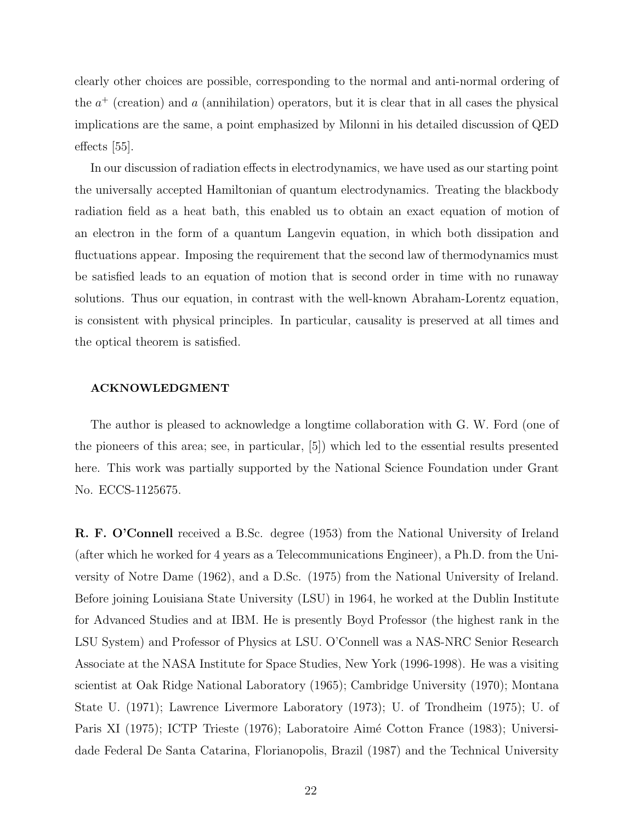clearly other choices are possible, corresponding to the normal and anti-normal ordering of the  $a^{+}$  (creation) and a (annihilation) operators, but it is clear that in all cases the physical implications are the same, a point emphasized by Milonni in his detailed discussion of QED effects [55].

In our discussion of radiation effects in electrodynamics, we have used as our starting point the universally accepted Hamiltonian of quantum electrodynamics. Treating the blackbody radiation field as a heat bath, this enabled us to obtain an exact equation of motion of an electron in the form of a quantum Langevin equation, in which both dissipation and fluctuations appear. Imposing the requirement that the second law of thermodynamics must be satisfied leads to an equation of motion that is second order in time with no runaway solutions. Thus our equation, in contrast with the well-known Abraham-Lorentz equation, is consistent with physical principles. In particular, causality is preserved at all times and the optical theorem is satisfied.

#### ACKNOWLEDGMENT

The author is pleased to acknowledge a longtime collaboration with G. W. Ford (one of the pioneers of this area; see, in particular, [5]) which led to the essential results presented here. This work was partially supported by the National Science Foundation under Grant No. ECCS-1125675.

R. F. O'Connell received a B.Sc. degree (1953) from the National University of Ireland (after which he worked for 4 years as a Telecommunications Engineer), a Ph.D. from the University of Notre Dame (1962), and a D.Sc. (1975) from the National University of Ireland. Before joining Louisiana State University (LSU) in 1964, he worked at the Dublin Institute for Advanced Studies and at IBM. He is presently Boyd Professor (the highest rank in the LSU System) and Professor of Physics at LSU. O'Connell was a NAS-NRC Senior Research Associate at the NASA Institute for Space Studies, New York (1996-1998). He was a visiting scientist at Oak Ridge National Laboratory (1965); Cambridge University (1970); Montana State U. (1971); Lawrence Livermore Laboratory (1973); U. of Trondheim (1975); U. of Paris XI (1975); ICTP Trieste (1976); Laboratoire Aimé Cotton France (1983); Universidade Federal De Santa Catarina, Florianopolis, Brazil (1987) and the Technical University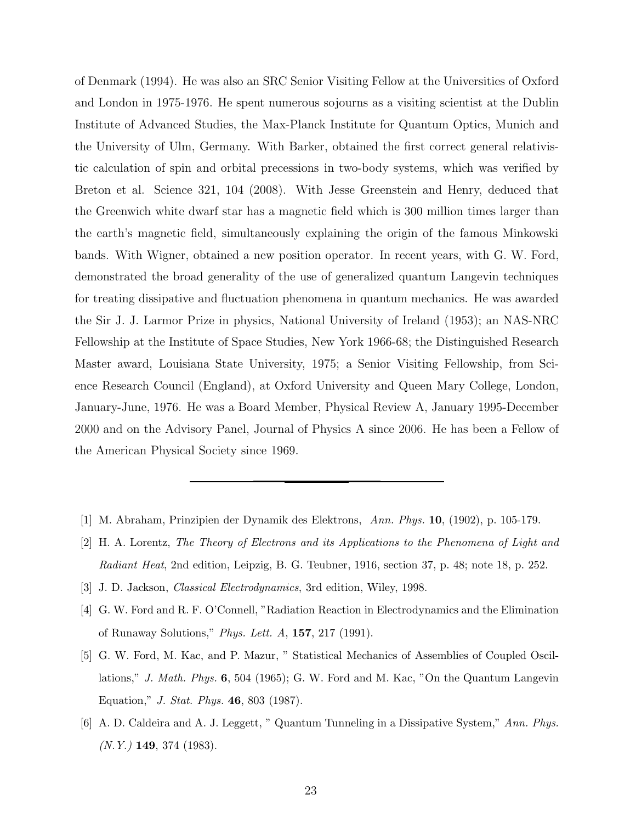of Denmark (1994). He was also an SRC Senior Visiting Fellow at the Universities of Oxford and London in 1975-1976. He spent numerous sojourns as a visiting scientist at the Dublin Institute of Advanced Studies, the Max-Planck Institute for Quantum Optics, Munich and the University of Ulm, Germany. With Barker, obtained the first correct general relativistic calculation of spin and orbital precessions in two-body systems, which was verified by Breton et al. Science 321, 104 (2008). With Jesse Greenstein and Henry, deduced that the Greenwich white dwarf star has a magnetic field which is 300 million times larger than the earth's magnetic field, simultaneously explaining the origin of the famous Minkowski bands. With Wigner, obtained a new position operator. In recent years, with G. W. Ford, demonstrated the broad generality of the use of generalized quantum Langevin techniques for treating dissipative and fluctuation phenomena in quantum mechanics. He was awarded the Sir J. J. Larmor Prize in physics, National University of Ireland (1953); an NAS-NRC Fellowship at the Institute of Space Studies, New York 1966-68; the Distinguished Research Master award, Louisiana State University, 1975; a Senior Visiting Fellowship, from Science Research Council (England), at Oxford University and Queen Mary College, London, January-June, 1976. He was a Board Member, Physical Review A, January 1995-December 2000 and on the Advisory Panel, Journal of Physics A since 2006. He has been a Fellow of the American Physical Society since 1969.

- [1] M. Abraham, Prinzipien der Dynamik des Elektrons, *Ann. Phys.* 10, (1902), p. 105-179.
- [2] H. A. Lorentz, *The Theory of Electrons and its Applications to the Phenomena of Light and Radiant Heat*, 2nd edition, Leipzig, B. G. Teubner, 1916, section 37, p. 48; note 18, p. 252.
- [3] J. D. Jackson, *Classical Electrodynamics*, 3rd edition, Wiley, 1998.
- [4] G. W. Ford and R. F. O'Connell, "Radiation Reaction in Electrodynamics and the Elimination of Runaway Solutions," *Phys. Lett. A*, 157, 217 (1991).
- [5] G. W. Ford, M. Kac, and P. Mazur, " Statistical Mechanics of Assemblies of Coupled Oscillations," *J. Math. Phys.* 6, 504 (1965); G. W. Ford and M. Kac, "On the Quantum Langevin Equation," *J. Stat. Phys.* 46, 803 (1987).
- [6] A. D. Caldeira and A. J. Leggett, " Quantum Tunneling in a Dissipative System," *Ann. Phys. (N.Y.)* 149, 374 (1983).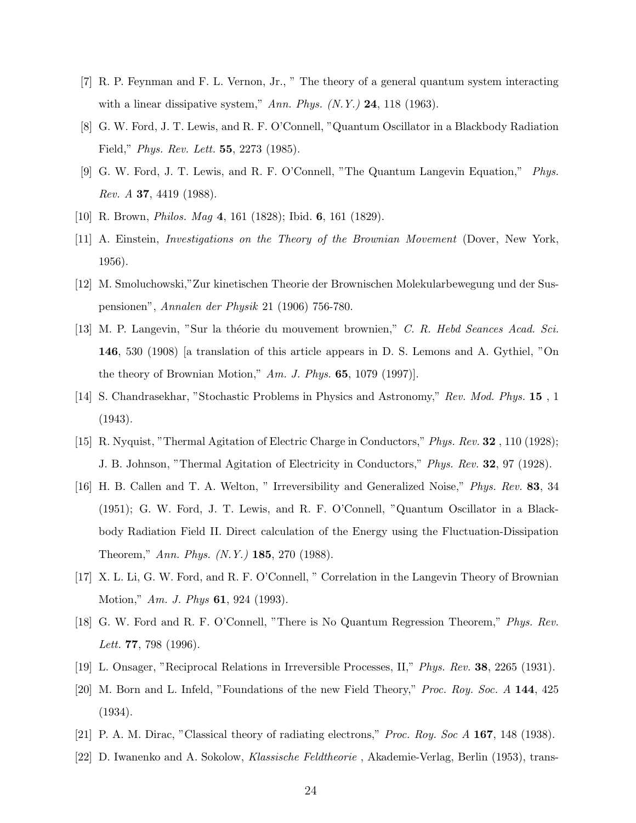- [7] R. P. Feynman and F. L. Vernon, Jr., " The theory of a general quantum system interacting with a linear dissipative system," *Ann. Phys. (N.Y.)* 24, 118 (1963).
- [8] G. W. Ford, J. T. Lewis, and R. F. O'Connell, "Quantum Oscillator in a Blackbody Radiation Field," *Phys. Rev. Lett.* 55, 2273 (1985).
- [9] G. W. Ford, J. T. Lewis, and R. F. O'Connell, "The Quantum Langevin Equation," *Phys. Rev. A* 37, 4419 (1988).
- [10] R. Brown, *Philos. Mag* 4, 161 (1828); Ibid. 6, 161 (1829).
- [11] A. Einstein, *Investigations on the Theory of the Brownian Movement* (Dover, New York, 1956).
- [12] M. Smoluchowski,"Zur kinetischen Theorie der Brownischen Molekularbewegung und der Suspensionen", *Annalen der Physik* 21 (1906) 756-780.
- [13] M. P. Langevin, "Sur la théorie du mouvement brownien," *C. R. Hebd Seances Acad. Sci.* 146, 530 (1908) [a translation of this article appears in D. S. Lemons and A. Gythiel, "On the theory of Brownian Motion," *Am. J. Phys.* 65, 1079 (1997)].
- [14] S. Chandrasekhar, "Stochastic Problems in Physics and Astronomy," *Rev. Mod. Phys.* 15 , 1 (1943).
- [15] R. Nyquist, "Thermal Agitation of Electric Charge in Conductors," *Phys. Rev.* 32 , 110 (1928); J. B. Johnson, "Thermal Agitation of Electricity in Conductors," *Phys. Rev.* 32, 97 (1928).
- [16] H. B. Callen and T. A. Welton, " Irreversibility and Generalized Noise," *Phys. Rev.* 83, 34 (1951); G. W. Ford, J. T. Lewis, and R. F. O'Connell, "Quantum Oscillator in a Blackbody Radiation Field II. Direct calculation of the Energy using the Fluctuation-Dissipation Theorem," *Ann. Phys. (N.Y.)* 185, 270 (1988).
- [17] X. L. Li, G. W. Ford, and R. F. O'Connell, " Correlation in the Langevin Theory of Brownian Motion," *Am. J. Phys* 61, 924 (1993).
- [18] G. W. Ford and R. F. O'Connell, "There is No Quantum Regression Theorem," *Phys. Rev. Lett.* 77, 798 (1996).
- [19] L. Onsager, "Reciprocal Relations in Irreversible Processes, II," *Phys. Rev.* 38, 2265 (1931).
- [20] M. Born and L. Infeld, "Foundations of the new Field Theory," *Proc. Roy. Soc. A* 144, 425 (1934).
- [21] P. A. M. Dirac, "Classical theory of radiating electrons," *Proc. Roy. Soc A* 167, 148 (1938).
- [22] D. Iwanenko and A. Sokolow, *Klassische Feldtheorie* , Akademie-Verlag, Berlin (1953), trans-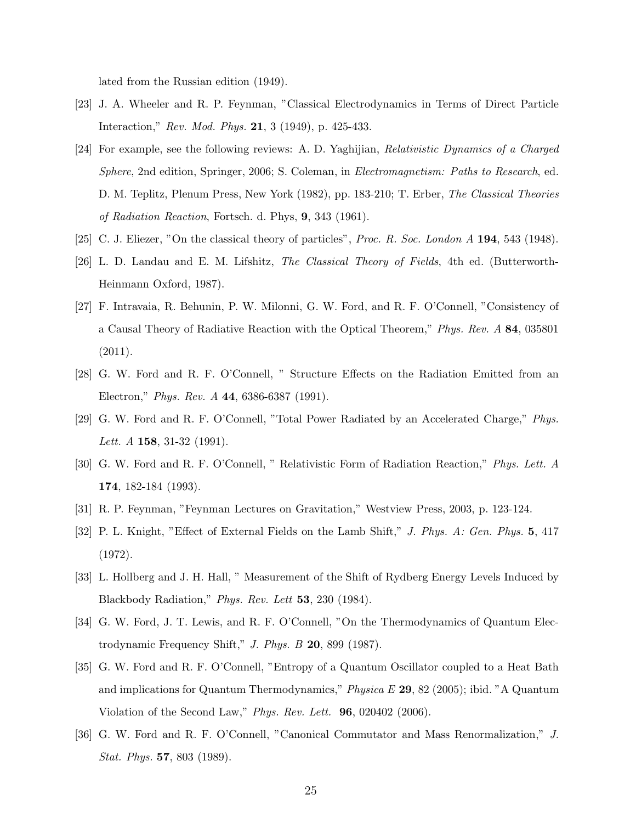lated from the Russian edition (1949).

- [23] J. A. Wheeler and R. P. Feynman, "Classical Electrodynamics in Terms of Direct Particle Interaction," *Rev. Mod. Phys.* 21, 3 (1949), p. 425-433.
- [24] For example, see the following reviews: A. D. Yaghijian, *Relativistic Dynamics of a Charged Sphere*, 2nd edition, Springer, 2006; S. Coleman, in *Electromagnetism: Paths to Research*, ed. D. M. Teplitz, Plenum Press, New York (1982), pp. 183-210; T. Erber, *The Classical Theories of Radiation Reaction*, Fortsch. d. Phys, 9, 343 (1961).
- [25] C. J. Eliezer, "On the classical theory of particles", *Proc. R. Soc. London A* 194, 543 (1948).
- [26] L. D. Landau and E. M. Lifshitz, *The Classical Theory of Fields*, 4th ed. (Butterworth-Heinmann Oxford, 1987).
- [27] F. Intravaia, R. Behunin, P. W. Milonni, G. W. Ford, and R. F. O'Connell, "Consistency of a Causal Theory of Radiative Reaction with the Optical Theorem," *Phys. Rev. A* 84, 035801  $(2011).$
- [28] G. W. Ford and R. F. O'Connell, " Structure Effects on the Radiation Emitted from an Electron," *Phys. Rev. A* 44, 6386-6387 (1991).
- [29] G. W. Ford and R. F. O'Connell, "Total Power Radiated by an Accelerated Charge," *Phys. Lett. A* 158, 31-32 (1991).
- [30] G. W. Ford and R. F. O'Connell, " Relativistic Form of Radiation Reaction," *Phys. Lett. A* 174, 182-184 (1993).
- [31] R. P. Feynman, "Feynman Lectures on Gravitation," Westview Press, 2003, p. 123-124.
- [32] P. L. Knight, "Effect of External Fields on the Lamb Shift," *J. Phys. A: Gen. Phys.* 5, 417 (1972).
- [33] L. Hollberg and J. H. Hall, " Measurement of the Shift of Rydberg Energy Levels Induced by Blackbody Radiation," *Phys. Rev. Lett* 53, 230 (1984).
- [34] G. W. Ford, J. T. Lewis, and R. F. O'Connell, "On the Thermodynamics of Quantum Electrodynamic Frequency Shift," *J. Phys. B* 20, 899 (1987).
- [35] G. W. Ford and R. F. O'Connell, "Entropy of a Quantum Oscillator coupled to a Heat Bath and implications for Quantum Thermodynamics," *Physica E* 29, 82 (2005); ibid. "A Quantum Violation of the Second Law," *Phys. Rev. Lett.* 96, 020402 (2006).
- [36] G. W. Ford and R. F. O'Connell, "Canonical Commutator and Mass Renormalization," *J. Stat. Phys.* 57, 803 (1989).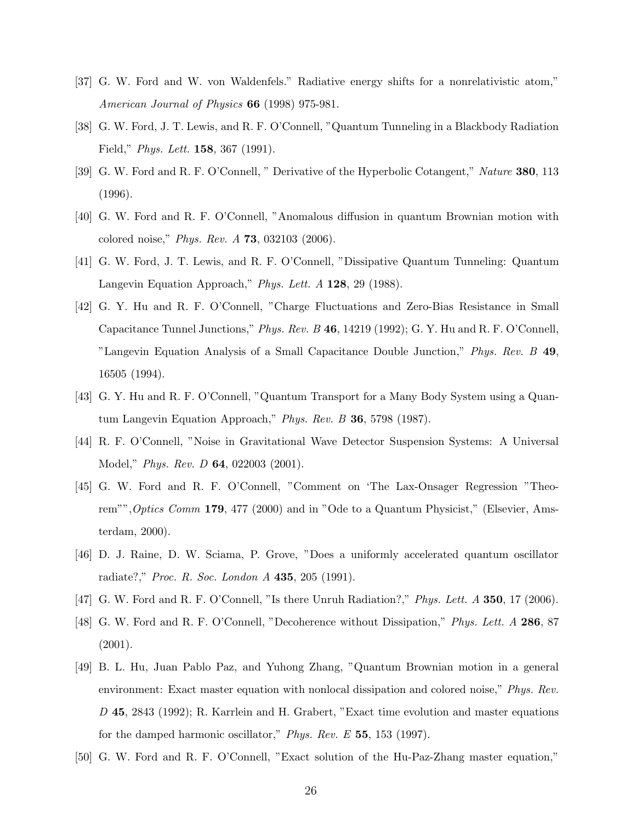- [37] G. W. Ford and W. von Waldenfels." Radiative energy shifts for a nonrelativistic atom," *American Journal of Physics* 66 (1998) 975-981.
- [38] G. W. Ford, J. T. Lewis, and R. F. O'Connell, "Quantum Tunneling in a Blackbody Radiation Field," *Phys. Lett.* 158, 367 (1991).
- [39] G. W. Ford and R. F. O'Connell, " Derivative of the Hyperbolic Cotangent," *Nature* 380, 113 (1996).
- [40] G. W. Ford and R. F. O'Connell, "Anomalous diffusion in quantum Brownian motion with colored noise," *Phys. Rev. A* 73, 032103 (2006).
- [41] G. W. Ford, J. T. Lewis, and R. F. O'Connell, "Dissipative Quantum Tunneling: Quantum Langevin Equation Approach," *Phys. Lett. A* 128, 29 (1988).
- [42] G. Y. Hu and R. F. O'Connell, "Charge Fluctuations and Zero-Bias Resistance in Small Capacitance Tunnel Junctions," *Phys. Rev. B* 46, 14219 (1992); G. Y. Hu and R. F. O'Connell, "Langevin Equation Analysis of a Small Capacitance Double Junction," *Phys. Rev. B* 49, 16505 (1994).
- [43] G. Y. Hu and R. F. O'Connell, "Quantum Transport for a Many Body System using a Quantum Langevin Equation Approach," *Phys. Rev. B* 36, 5798 (1987).
- [44] R. F. O'Connell, "Noise in Gravitational Wave Detector Suspension Systems: A Universal Model," *Phys. Rev. D* 64, 022003 (2001).
- [45] G. W. Ford and R. F. O'Connell, "Comment on 'The Lax-Onsager Regression "Theorem"",*Optics Comm* 179, 477 (2000) and in "Ode to a Quantum Physicist," (Elsevier, Amsterdam, 2000).
- [46] D. J. Raine, D. W. Sciama, P. Grove, "Does a uniformly accelerated quantum oscillator radiate?," *Proc. R. Soc. London A* 435, 205 (1991).
- [47] G. W. Ford and R. F. O'Connell, "Is there Unruh Radiation?," *Phys. Lett. A* 350, 17 (2006).
- [48] G. W. Ford and R. F. O'Connell, "Decoherence without Dissipation," *Phys. Lett. A* 286, 87 (2001).
- [49] B. L. Hu, Juan Pablo Paz, and Yuhong Zhang, "Quantum Brownian motion in a general environment: Exact master equation with nonlocal dissipation and colored noise," *Phys. Rev. D* 45, 2843 (1992); R. Karrlein and H. Grabert, "Exact time evolution and master equations for the damped harmonic oscillator," *Phys. Rev. E* 55, 153 (1997).
- [50] G. W. Ford and R. F. O'Connell, "Exact solution of the Hu-Paz-Zhang master equation,"